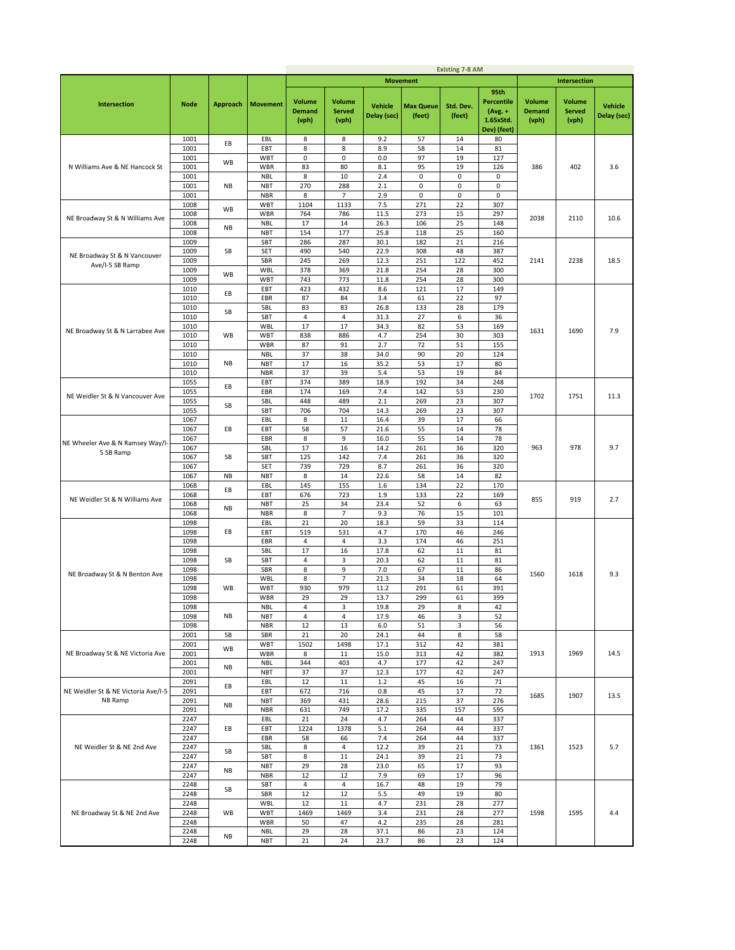|                                                 |              |                 |                          |                                         |                                         |                               |                            | <b>Existing 7-8 AM</b> |                                                                    |                                         |                                         |                               |
|-------------------------------------------------|--------------|-----------------|--------------------------|-----------------------------------------|-----------------------------------------|-------------------------------|----------------------------|------------------------|--------------------------------------------------------------------|-----------------------------------------|-----------------------------------------|-------------------------------|
|                                                 |              |                 |                          |                                         |                                         |                               | <b>Movement</b>            |                        |                                                                    |                                         | <b>Intersection</b>                     |                               |
| <b>Intersection</b>                             | <b>Node</b>  | <b>Approach</b> | <b>Movement</b>          | <b>Volume</b><br><b>Demand</b><br>(vph) | <b>Volume</b><br><b>Served</b><br>(vph) | <b>Vehicle</b><br>Delay (sec) | <b>Max Queue</b><br>(feet) | Std. Dev.<br>(feet)    | 95th<br><b>Percentile</b><br>$(Avg. +$<br>1.65xStd.<br>Dev) (feet) | <b>Volume</b><br><b>Demand</b><br>(vph) | <b>Volume</b><br><b>Served</b><br>(vph) | <b>Vehicle</b><br>Delay (sec) |
|                                                 | 1001         | EВ              | EBL                      | 8                                       | 8                                       | 9.2                           | 57                         | 14                     | 80                                                                 |                                         |                                         |                               |
|                                                 | 1001         |                 | EBT                      | 8                                       | 8                                       | 8.9                           | 58                         | 14                     | 81                                                                 |                                         |                                         |                               |
| N Williams Ave & NE Hancock St                  | 1001<br>1001 | WB              | WBT<br>WBR               | 0<br>83                                 | 0<br>80                                 | 0.0<br>8.1                    | 97<br>95                   | 19<br>19               | 127<br>126                                                         | 386                                     | 402                                     |                               |
|                                                 | 1001         |                 | <b>NBL</b>               | 8                                       | 10                                      | 2.4                           | 0                          | 0                      | 0                                                                  |                                         |                                         | 3.6                           |
|                                                 | 1001         | NB              | <b>NBT</b>               | 270                                     | 288                                     | 2.1                           | 0                          | 0                      | 0                                                                  |                                         |                                         |                               |
|                                                 | 1001         |                 | <b>NBR</b>               | 8                                       | 7                                       | 2.9                           | 0                          | 0                      | $\mathsf 0$                                                        |                                         |                                         |                               |
|                                                 | 1008         | WB              | WBT                      | 1104                                    | 1133                                    | 7.5                           | 271                        | 22                     | 307                                                                |                                         |                                         |                               |
| NE Broadway St & N Williams Ave                 | 1008         |                 | <b>WBR</b>               | 764                                     | 786                                     | 11.5                          | 273                        | 15                     | 297                                                                | 2038                                    | 2110                                    | 10.6                          |
|                                                 | 1008<br>1008 | NB              | <b>NBL</b><br><b>NBT</b> | 17<br>154                               | 14<br>177                               | 26.3<br>25.8                  | 106<br>118                 | 25<br>25               | 148<br>160                                                         |                                         |                                         |                               |
|                                                 | 1009         |                 | SBT                      | 286                                     | 287                                     | 30.1                          | 182                        | 21                     | 216                                                                |                                         |                                         |                               |
|                                                 | 1009         | SB              | SET                      | 490                                     | 540                                     | 22.9                          | 308                        | 48                     | 387                                                                |                                         |                                         |                               |
| NE Broadway St & N Vancouver<br>Ave/I-5 SB Ramp | 1009         |                 | SBR                      | 245                                     | 269                                     | 12.3                          | 251                        | 122                    | 452                                                                | 2141                                    | 2238                                    | 18.5                          |
|                                                 | 1009         | WB              | <b>WBL</b>               | 378                                     | 369                                     | 21.8                          | 254                        | 28                     | 300                                                                |                                         |                                         |                               |
|                                                 | 1009         |                 | WBT<br>EBT               | 743<br>423                              | 773<br>432                              | 11.8<br>8.6                   | 254<br>121                 | 28<br>17               | 300<br>149                                                         |                                         |                                         |                               |
|                                                 | 1010<br>1010 | EB              | EBR                      | 87                                      | 84                                      | 3.4                           | 61                         | 22                     | 97                                                                 |                                         |                                         |                               |
|                                                 | 1010         |                 | SBL                      | 83                                      | 83                                      | 26.8                          | 133                        | 28                     | 179                                                                |                                         |                                         |                               |
|                                                 | 1010         | SB              | SBT                      | $\overline{4}$                          | 4                                       | 31.3                          | 27                         | 6                      | 36                                                                 |                                         |                                         |                               |
| NE Broadway St & N Larrabee Ave                 | 1010         |                 | WBL                      | 17                                      | 17                                      | 34.3                          | 82                         | 53                     | 169                                                                | 1631                                    | 1690                                    | 7.9                           |
|                                                 | 1010         | WB              | <b>WBT</b>               | 838                                     | 886                                     | 4.7                           | 254                        | 30                     | 303                                                                |                                         |                                         |                               |
|                                                 | 1010         |                 | WBR                      | 87                                      | 91                                      | 2.7                           | 72<br>90                   | 51                     | 155                                                                |                                         |                                         |                               |
|                                                 | 1010<br>1010 | NB              | <b>NBL</b><br><b>NBT</b> | 37<br>17                                | 38<br>16                                | 34.0<br>35.2                  | 53                         | 20<br>17               | 124<br>80                                                          |                                         |                                         |                               |
|                                                 | 1010         |                 | <b>NBR</b>               | 37                                      | 39                                      | 5.4                           | 53                         | 19                     | 84                                                                 |                                         |                                         |                               |
|                                                 | 1055         |                 | EBT                      | 374                                     | 389                                     | 18.9                          | 192                        | 34                     | 248                                                                |                                         |                                         |                               |
| NE Weidler St & N Vancouver Ave                 | 1055         | EB              | EBR                      | 174                                     | 169                                     | 7.4                           | 142                        | 53                     | 230                                                                | 1702                                    | 1751                                    | 11.3                          |
|                                                 | 1055         | SB              | SBL                      | 448                                     | 489                                     | 2.1                           | 269                        | 23                     | 307                                                                |                                         |                                         |                               |
|                                                 | 1055         |                 | SBT                      | 706                                     | 704                                     | 14.3                          | 269                        | 23                     | 307                                                                |                                         |                                         |                               |
|                                                 | 1067<br>1067 | EВ              | EBL<br>EBT               | 8<br>58                                 | 11<br>57                                | 16.4<br>21.6                  | 39<br>55                   | 17<br>14               | 66<br>78                                                           |                                         |                                         |                               |
| NE Wheeler Ave & N Ramsey Way/I-                | 1067         |                 | EBR                      | 8                                       | 9                                       | 16.0                          | 55                         | 14                     | 78                                                                 |                                         |                                         |                               |
|                                                 | 1067         |                 | SBL                      | 17                                      | 16                                      | 14.2                          | 261                        | 36                     | 320                                                                | 963                                     | 978                                     | 9.7                           |
| 5 SB Ramp                                       | 1067         | SB              | SBT                      | 125                                     | 142                                     | 7.4                           | 261                        | 36                     | 320                                                                |                                         |                                         |                               |
|                                                 | 1067         |                 | SET                      | 739                                     | 729                                     | 8.7                           | 261                        | 36                     | 320                                                                |                                         |                                         |                               |
|                                                 | 1067         | <b>NB</b>       | <b>NBT</b>               | 8                                       | 14                                      | 22.6                          | 58                         | 14                     | 82                                                                 |                                         |                                         |                               |
|                                                 | 1068<br>1068 | EВ              | EBL<br>EBT               | 145<br>676                              | 155<br>723                              | 1.6<br>1.9                    | 134<br>133                 | 22<br>22               | 170<br>169                                                         |                                         |                                         |                               |
| NE Weidler St & N Williams Ave                  | 1068         |                 | <b>NBT</b>               | 25                                      | 34                                      | 23.4                          | 52                         | 6                      | 63                                                                 | 855                                     | 919                                     | 2.7                           |
|                                                 | 1068         | NB              | <b>NBR</b>               | 8                                       | 7                                       | 9.3                           | 76                         | 15                     | 101                                                                |                                         |                                         |                               |
|                                                 | 1098         |                 | EBL                      | 21                                      | 20                                      | 18.3                          | 59                         | 33                     | 114                                                                |                                         |                                         |                               |
|                                                 | 1098         | EВ              | EBT                      | 519                                     | 531                                     | 4.7                           | 170                        | 46                     | 246                                                                |                                         |                                         |                               |
|                                                 | 1098<br>1098 |                 | EBR<br>SBL               | 4<br>17                                 | 4<br>16                                 | 3.3<br>17.8                   | 174<br>62                  | 46<br>11               | 251<br>81                                                          |                                         |                                         |                               |
|                                                 | 1098         | SB              | SBT                      | 4                                       | 3                                       | 20.3                          | 62                         | 11                     | 81                                                                 |                                         |                                         |                               |
|                                                 | 1098         |                 | SBR                      | 8                                       | 9                                       | 7.0                           | 67                         | 11                     | 86                                                                 | 1560                                    | 1618                                    | 9.3                           |
| NE Broadway St & N Benton Ave                   | 1098         |                 | WBL                      | 8                                       | 7                                       | 21.3                          | 34                         | 18                     | 64                                                                 |                                         |                                         |                               |
|                                                 | 1098         | <b>WB</b>       | WBT                      | 930                                     | 979                                     | 11.2                          | 291                        | 61                     | 391                                                                |                                         |                                         |                               |
|                                                 | 1098         |                 | WBR                      | 29                                      | 29                                      | 13.7                          | 299                        | 61                     | 399                                                                |                                         |                                         |                               |
|                                                 | 1098<br>1098 | NB              | NBL<br><b>NBT</b>        | 4<br>4                                  | 3<br>4                                  | 19.8<br>17.9                  | 29<br>46                   | 8<br>3                 | 42<br>52                                                           |                                         |                                         |                               |
|                                                 | 1098         |                 | <b>NBR</b>               | 12                                      | 13                                      | $6.0$                         | 51                         | 3                      | 56                                                                 |                                         |                                         |                               |
|                                                 | 2001         | SB              | SBR                      | 21                                      | 20                                      | 24.1                          | 44                         | 8                      | 58                                                                 |                                         |                                         |                               |
|                                                 | 2001         | WB              | <b>WBT</b>               | 1502                                    | 1498                                    | 17.1                          | 312                        | 42                     | 381                                                                |                                         |                                         |                               |
| NE Broadway St & NE Victoria Ave                | 2001<br>2001 |                 | WBR<br><b>NBL</b>        | 8<br>344                                | 11<br>403                               | 15.0<br>4.7                   | 313<br>177                 | 42<br>42               | 382<br>247                                                         | 1913                                    | 1969                                    | 14.5                          |
|                                                 | 2001         | <b>NB</b>       | <b>NBT</b>               | 37                                      | 37                                      | 12.3                          | 177                        | 42                     | 247                                                                |                                         |                                         |                               |
|                                                 | 2091         |                 | EBL                      | 12                                      | $11\,$                                  | $1.2$                         | 45                         | 16                     | 71                                                                 |                                         |                                         |                               |
| NE Weidler St & NE Victoria Ave/I-5             | 2091         | ΕВ              | EBT                      | 672                                     | 716                                     | 0.8                           | 45                         | 17                     | 72                                                                 | 1685                                    | 1907                                    | 13.5                          |
| NB Ramp                                         | 2091         | NB              | NBT                      | 369                                     | 431                                     | 28.6                          | 215                        | 37                     | 276                                                                |                                         |                                         |                               |
|                                                 | 2091         |                 | <b>NBR</b>               | 631                                     | 749<br>24                               | 17.2                          | 335                        | 157<br>44              | 595                                                                |                                         |                                         |                               |
|                                                 | 2247<br>2247 | EВ              | EBL<br>EBT               | 21<br>1224                              | 1378                                    | 4.7<br>5.1                    | 264<br>264                 | 44                     | 337<br>337                                                         |                                         |                                         |                               |
|                                                 | 2247         |                 | EBR                      | 58                                      | 66                                      | 7.4                           | 264                        | 44                     | 337                                                                |                                         |                                         |                               |
| NE Weidler St & NE 2nd Ave                      | 2247         |                 | SBL                      | 8                                       | 4                                       | 12.2                          | 39                         | 21                     | 73                                                                 | 1361                                    | 1523                                    | 5.7                           |
|                                                 | 2247         | SB              | SBT                      | 8                                       | $11\,$                                  | 24.1                          | 39                         | 21                     | 73                                                                 |                                         |                                         |                               |
|                                                 | 2247         | <b>NB</b>       | <b>NBT</b>               | 29                                      | 28                                      | 23.0                          | 65                         | 17                     | 93                                                                 |                                         |                                         |                               |
|                                                 | 2247         |                 | <b>NBR</b><br>SBT        | 12<br>4                                 | 12<br>4                                 | 7.9<br>16.7                   | 69<br>48                   | 17<br>19               | 96<br>79                                                           |                                         |                                         |                               |
|                                                 | 2248<br>2248 | SB              | SBR                      | 12                                      | 12                                      | 5.5                           | 49                         | 19                     | 80                                                                 |                                         |                                         |                               |
|                                                 | 2248         |                 | <b>WBL</b>               | 12                                      | $11\,$                                  | 4.7                           | 231                        | 28                     | 277                                                                |                                         |                                         |                               |
| NE Broadway St & NE 2nd Ave                     | 2248         | WB              | <b>WBT</b>               | 1469                                    | 1469                                    | 3.4                           | 231                        | 28                     | 277                                                                | 1598                                    | 1595                                    | 4.4                           |
|                                                 | 2248         |                 | WBR                      | 50                                      | 47                                      | 4.2                           | 235                        | 28                     | 281                                                                |                                         |                                         |                               |
|                                                 | 2248         | <b>NB</b>       | <b>NBL</b>               | 29                                      | 28                                      | 37.1                          | 86                         | 23                     | 124                                                                |                                         |                                         |                               |
|                                                 | 2248         |                 | <b>NBT</b>               | 21                                      | 24                                      | 23.7                          | 86                         | 23                     | 124                                                                |                                         |                                         |                               |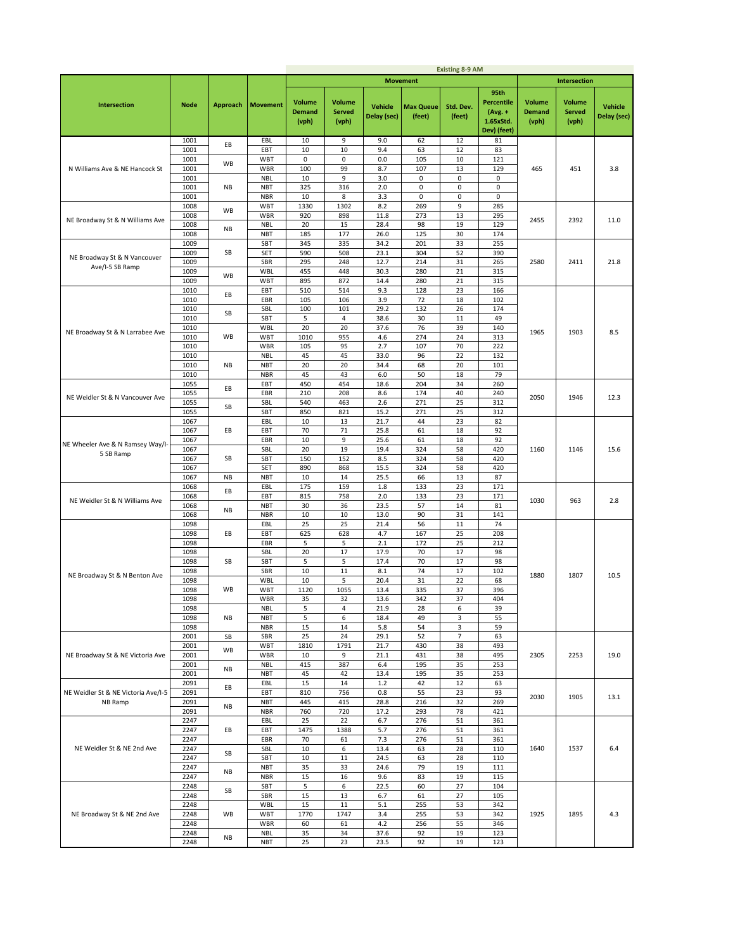|                                     |              |                 |                          |                                  |                                  |                               |                            | <b>Existing 8-9 AM</b> |                                                                    |                                         |                                         |                               |
|-------------------------------------|--------------|-----------------|--------------------------|----------------------------------|----------------------------------|-------------------------------|----------------------------|------------------------|--------------------------------------------------------------------|-----------------------------------------|-----------------------------------------|-------------------------------|
|                                     |              |                 |                          |                                  |                                  |                               | <b>Movement</b>            |                        |                                                                    |                                         | <b>Intersection</b>                     |                               |
| <b>Intersection</b>                 | <b>Node</b>  | <b>Approach</b> | <b>Movement</b>          | Volume<br><b>Demand</b><br>(vph) | Volume<br><b>Served</b><br>(vph) | <b>Vehicle</b><br>Delay (sec) | <b>Max Queue</b><br>(feet) | Std. Dev.<br>(feet)    | 95th<br><b>Percentile</b><br>$(Avg. +$<br>1.65xStd.<br>Dev) (feet) | <b>Volume</b><br><b>Demand</b><br>(vph) | <b>Volume</b><br><b>Served</b><br>(vph) | <b>Vehicle</b><br>Delay (sec) |
|                                     | 1001         | EВ              | EBL                      | 10                               | 9                                | 9.0                           | 62                         | 12                     | 81                                                                 |                                         |                                         |                               |
|                                     | 1001         |                 | EBT                      | 10                               | 10                               | 9.4                           | 63                         | 12                     | 83                                                                 |                                         |                                         |                               |
|                                     | 1001         | WB              | <b>WBT</b>               | 0                                | 0                                | 0.0                           | 105                        | 10                     | 121                                                                |                                         |                                         |                               |
| N Williams Ave & NE Hancock St      | 1001         |                 | WBR                      | 100                              | 99                               | 8.7                           | 107                        | 13                     | 129                                                                | 465                                     | 451                                     | 3.8                           |
|                                     | 1001         |                 | <b>NBL</b>               | 10                               | 9                                | 3.0                           | 0                          | 0                      | 0                                                                  |                                         |                                         |                               |
|                                     | 1001         | <b>NB</b>       | <b>NBT</b>               | 325                              | 316                              | 2.0                           | $\mathbf 0$                | $\pmb{0}$              | 0                                                                  |                                         |                                         |                               |
|                                     | 1001         |                 | <b>NBR</b><br><b>WBT</b> | 10<br>1330                       | 8<br>1302                        | 3.3<br>8.2                    | 0<br>269                   | 0<br>9                 | 0<br>285                                                           |                                         |                                         |                               |
|                                     | 1008<br>1008 | <b>WB</b>       | WBR                      | 920                              | 898                              | 11.8                          | 273                        | 13                     | 295                                                                |                                         |                                         |                               |
| NE Broadway St & N Williams Ave     | 1008         |                 | <b>NBL</b>               | 20                               | 15                               | 28.4                          | 98                         | 19                     | 129                                                                | 2455                                    | 2392                                    | 11.0                          |
|                                     | 1008         | <b>NB</b>       | <b>NBT</b>               | 185                              | 177                              | 26.0                          | 125                        | 30                     | 174                                                                |                                         |                                         |                               |
|                                     | 1009         |                 | SBT                      | 345                              | 335                              | 34.2                          | 201                        | 33                     | 255                                                                |                                         |                                         |                               |
| NE Broadway St & N Vancouver        | 1009         | SB              | <b>SET</b>               | 590                              | 508                              | 23.1                          | 304                        | 52                     | 390                                                                |                                         |                                         |                               |
| Ave/I-5 SB Ramp                     | 1009         |                 | SBR                      | 295                              | 248                              | 12.7                          | 214                        | 31                     | 265                                                                | 2580                                    | 2411                                    | 21.8                          |
|                                     | 1009         | WB              | <b>WBL</b>               | 455                              | 448                              | 30.3                          | 280                        | 21                     | 315                                                                |                                         |                                         |                               |
|                                     | 1009         |                 | <b>WBT</b><br>EBT        | 895<br>510                       | 872<br>514                       | 14.4<br>9.3                   | 280<br>128                 | 21<br>23               | 315                                                                |                                         |                                         |                               |
|                                     | 1010<br>1010 | EВ              | EBR                      | 105                              | 106                              | 3.9                           | 72                         | 18                     | 166<br>102                                                         |                                         |                                         |                               |
|                                     | 1010         |                 | SBL                      | 100                              | 101                              | 29.2                          | 132                        | 26                     | 174                                                                |                                         |                                         |                               |
|                                     | 1010         | SB              | SBT                      | 5                                | 4                                | 38.6                          | 30                         | 11                     | 49                                                                 |                                         |                                         |                               |
|                                     | 1010         |                 | <b>WBL</b>               | 20                               | 20                               | 37.6                          | 76                         | 39                     | 140                                                                |                                         |                                         |                               |
| NE Broadway St & N Larrabee Ave     | 1010         | WB              | WBT                      | 1010                             | 955                              | 4.6                           | 274                        | 24                     | 313                                                                | 1965                                    | 1903                                    | 8.5                           |
|                                     | 1010         |                 | WBR                      | 105                              | 95                               | 2.7                           | 107                        | 70                     | 222                                                                |                                         |                                         |                               |
|                                     | 1010         |                 | <b>NBL</b>               | 45                               | 45                               | 33.0                          | 96                         | 22                     | 132                                                                |                                         |                                         |                               |
|                                     | 1010         | <b>NB</b>       | <b>NBT</b>               | 20                               | 20                               | 34.4                          | 68                         | 20                     | 101                                                                |                                         |                                         |                               |
|                                     | 1010         |                 | <b>NBR</b>               | 45                               | 43                               | 6.0                           | 50                         | 18                     | 79                                                                 |                                         |                                         |                               |
|                                     | 1055<br>1055 | EВ              | EBT<br>EBR               | 450<br>210                       | 454<br>208                       | 18.6<br>8.6                   | 204<br>174                 | 34<br>40               | 260<br>240                                                         |                                         |                                         |                               |
| NE Weidler St & N Vancouver Ave     | 1055         |                 | SBL                      | 540                              | 463                              | 2.6                           | 271                        | 25                     | 312                                                                | 2050                                    | 1946                                    | 12.3                          |
|                                     | 1055         | SB              | SBT                      | 850                              | 821                              | 15.2                          | 271                        | 25                     | 312                                                                |                                         |                                         |                               |
|                                     | 1067         |                 | EBL                      | 10                               | 13                               | 21.7                          | 44                         | 23                     | 82                                                                 |                                         |                                         |                               |
|                                     | 1067         | EВ              | EBT                      | 70                               | 71                               | 25.8                          | 61                         | 18                     | 92                                                                 |                                         |                                         |                               |
| NE Wheeler Ave & N Ramsey Way/I-    | 1067         |                 | EBR                      | 10                               | 9                                | 25.6                          | 61                         | 18                     | 92                                                                 |                                         |                                         |                               |
| 5 SB Ramp                           | 1067         |                 | SBL                      | 20                               | 19                               | 19.4                          | 324                        | 58                     | 420                                                                | 1160                                    | 1146                                    | 15.6                          |
|                                     | 1067         | SB              | SBT                      | 150                              | 152                              | 8.5                           | 324                        | 58                     | 420                                                                |                                         |                                         |                               |
|                                     | 1067         |                 | SET<br><b>NBT</b>        | 890<br>10                        | 868                              | 15.5<br>25.5                  | 324                        | 58<br>13               | 420                                                                |                                         |                                         |                               |
|                                     | 1067<br>1068 | <b>NB</b>       | EBL                      | 175                              | 14<br>159                        | 1.8                           | 66<br>133                  | 23                     | 87<br>171                                                          |                                         |                                         |                               |
|                                     | 1068         | EB              | EBT                      | 815                              | 758                              | 2.0                           | 133                        | 23                     | 171                                                                |                                         |                                         |                               |
| NE Weidler St & N Williams Ave      | 1068         |                 | <b>NBT</b>               | 30                               | 36                               | 23.5                          | 57                         | 14                     | 81                                                                 | 1030                                    | 963                                     | 2.8                           |
|                                     | 1068         | NB              | <b>NBR</b>               | 10                               | 10                               | 13.0                          | 90                         | 31                     | 141                                                                |                                         |                                         |                               |
|                                     | 1098         |                 | EBL                      | 25                               | 25                               | 21.4                          | 56                         | 11                     | 74                                                                 |                                         |                                         |                               |
|                                     | 1098         | EВ              | EBT                      | 625                              | 628                              | 4.7                           | 167                        | 25                     | 208                                                                |                                         |                                         |                               |
|                                     | 1098         |                 | EBR                      | 5                                | 5                                | 2.1                           | 172                        | 25                     | 212                                                                |                                         |                                         |                               |
|                                     | 1098<br>1098 | SB              | SBL<br>SBT               | 20<br>5                          | 17<br>5                          | 17.9<br>17.4                  | 70<br>70                   | 17<br>17               | 98<br>98                                                           |                                         |                                         |                               |
|                                     | 1098         |                 | SBR                      | 10                               | 11                               | 8.1                           | 74                         | 17                     | 102                                                                |                                         |                                         |                               |
| NE Broadway St & N Benton Ave       | 1098         |                 | WBL                      | 10                               | 5                                | 20.4                          | 31                         | 22                     | 68                                                                 | 1880                                    | 1807                                    | 10.5                          |
|                                     | 1098         | WB              | WBT                      | 1120                             | 1055                             | 13.4                          | 335                        | 37                     | 396                                                                |                                         |                                         |                               |
|                                     | 1098         |                 | WBR                      | 35                               | 32                               | 13.6                          | 342                        | 37                     | 404                                                                |                                         |                                         |                               |
|                                     | 1098         |                 | <b>NBL</b>               | 5                                | 4                                | 21.9                          | 28                         | 6                      | 39                                                                 |                                         |                                         |                               |
|                                     | 1098         | NB              | <b>NBT</b>               | 5                                | 6                                | 18.4                          | 49                         | 3                      | 55                                                                 |                                         |                                         |                               |
|                                     | 1098<br>2001 | SB              | <b>NBR</b><br>SBR        | 15<br>25                         | 14<br>24                         | 5.8<br>29.1                   | 54<br>52                   | 3<br>$\overline{7}$    | 59<br>63                                                           |                                         |                                         |                               |
|                                     | 2001         |                 | <b>WBT</b>               | 1810                             | 1791                             | 21.7                          | 430                        | 38                     | 493                                                                |                                         |                                         |                               |
| NE Broadway St & NE Victoria Ave    | 2001         | WB              | WBR                      | 10                               | 9                                | 21.1                          | 431                        | 38                     | 495                                                                | 2305                                    | 2253                                    | 19.0                          |
|                                     | 2001         |                 | <b>NBL</b>               | 415                              | 387                              | 6.4                           | 195                        | 35                     | 253                                                                |                                         |                                         |                               |
|                                     | 2001         | NB              | <b>NBT</b>               | 45                               | 42                               | 13.4                          | 195                        | 35                     | 253                                                                |                                         |                                         |                               |
|                                     | 2091         | EВ              | EBL                      | 15                               | 14                               | $1.2$                         | 42                         | 12                     | 63                                                                 |                                         |                                         |                               |
| NE Weidler St & NE Victoria Ave/I-5 | 2091         |                 | EBT                      | 810                              | 756                              | 0.8                           | 55                         | 23                     | 93                                                                 | 2030                                    | 1905                                    | 13.1                          |
| NB Ramp                             | 2091<br>2091 | NB              | <b>NBT</b>               | 445                              | 415                              | 28.8                          | 216<br>293                 | 32                     | 269                                                                |                                         |                                         |                               |
|                                     | 2247         |                 | <b>NBR</b><br>EBL        | 760<br>25                        | 720<br>22                        | 17.2<br>6.7                   | 276                        | 78<br>51               | 421<br>361                                                         |                                         |                                         |                               |
|                                     | 2247         | EВ              | EBT                      | 1475                             | 1388                             | 5.7                           | 276                        | 51                     | 361                                                                |                                         |                                         |                               |
|                                     | 2247         |                 | EBR                      | 70                               | 61                               | 7.3                           | 276                        | 51                     | 361                                                                |                                         |                                         |                               |
| NE Weidler St & NE 2nd Ave          | 2247         |                 | SBL                      | 10                               | 6                                | 13.4                          | 63                         | 28                     | 110                                                                | 1640                                    | 1537                                    | 6.4                           |
|                                     | 2247         | SB              | SBT                      | 10                               | 11                               | 24.5                          | 63                         | 28                     | 110                                                                |                                         |                                         |                               |
|                                     | 2247         | NB              | <b>NBT</b>               | 35                               | 33                               | 24.6                          | 79                         | 19                     | 111                                                                |                                         |                                         |                               |
|                                     | 2247         |                 | <b>NBR</b>               | 15                               | 16                               | 9.6                           | 83                         | 19                     | 115                                                                |                                         |                                         |                               |
|                                     | 2248         | SB              | SBT<br>SBR               | 5                                | 6                                | 22.5                          | 60                         | 27                     | 104                                                                |                                         |                                         |                               |
|                                     | 2248<br>2248 |                 | <b>WBL</b>               | 15<br>15                         | 13<br>11                         | 6.7<br>5.1                    | 61<br>255                  | 27<br>53               | 105<br>342                                                         |                                         |                                         |                               |
| NE Broadway St & NE 2nd Ave         | 2248         | WB              | <b>WBT</b>               | 1770                             | 1747                             | 3.4                           | 255                        | 53                     | 342                                                                | 1925                                    | 1895                                    | 4.3                           |
|                                     | 2248         |                 | WBR                      | 60                               | 61                               | 4.2                           | 256                        | 55                     | 346                                                                |                                         |                                         |                               |
|                                     | 2248         |                 | <b>NBL</b>               | 35                               | 34                               | 37.6                          | 92                         | 19                     | 123                                                                |                                         |                                         |                               |
|                                     | 2248         | NB              | <b>NBT</b>               | 25                               | 23                               | 23.5                          | 92                         | 19                     | 123                                                                |                                         |                                         |                               |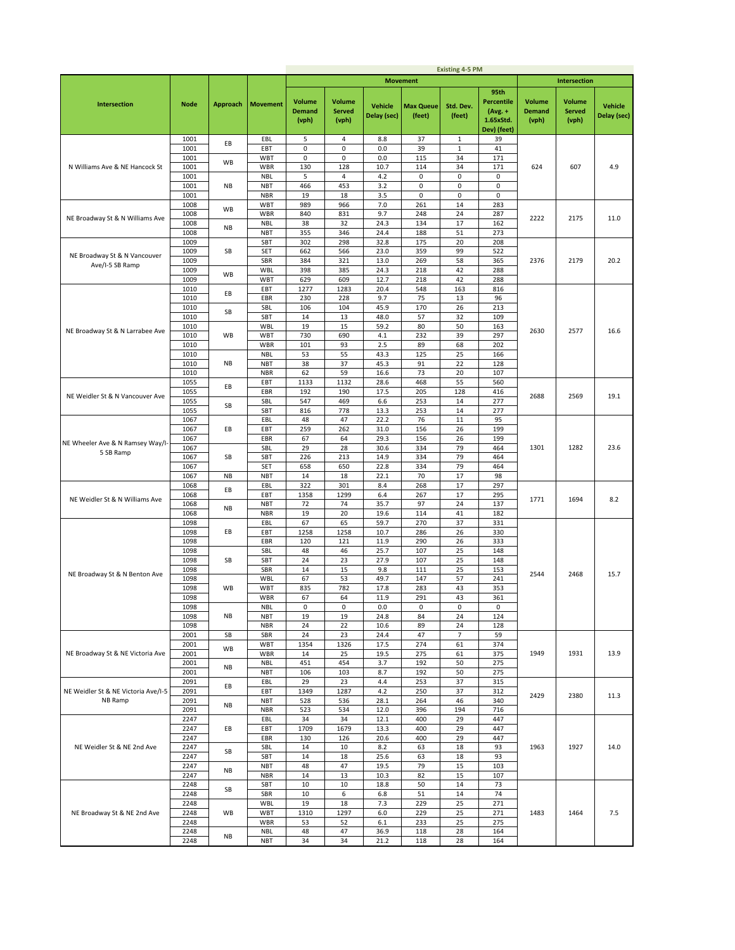|                                     |              |                 |                          |                                         |                                         |                               |                            | <b>Existing 4-5 PM</b> |                                                                    |                                         |                                         |                               |
|-------------------------------------|--------------|-----------------|--------------------------|-----------------------------------------|-----------------------------------------|-------------------------------|----------------------------|------------------------|--------------------------------------------------------------------|-----------------------------------------|-----------------------------------------|-------------------------------|
|                                     |              |                 |                          |                                         |                                         |                               | <b>Movement</b>            |                        |                                                                    |                                         | <b>Intersection</b>                     |                               |
| Intersection                        | <b>Node</b>  | <b>Approach</b> | <b>Movement</b>          | <b>Volume</b><br><b>Demand</b><br>(vph) | <b>Volume</b><br><b>Served</b><br>(vph) | <b>Vehicle</b><br>Delay (sec) | <b>Max Queue</b><br>(feet) | Std. Dev.<br>(feet)    | 95th<br><b>Percentile</b><br>$(Avg. +$<br>1.65xStd.<br>Dev) (feet) | <b>Volume</b><br><b>Demand</b><br>(vph) | <b>Volume</b><br><b>Served</b><br>(vph) | <b>Vehicle</b><br>Delay (sec) |
|                                     | 1001         | EВ              | EBL                      | 5                                       | 4                                       | 8.8                           | 37                         | 1                      | 39                                                                 |                                         |                                         |                               |
|                                     | 1001         |                 | EBT                      | 0                                       | 0                                       | 0.0                           | 39                         | $\mathbf 1$            | 41                                                                 |                                         |                                         |                               |
|                                     | 1001<br>1001 | WB              | WBT<br>WBR               | 0<br>130                                | 0<br>128                                | 0.0<br>10.7                   | 115<br>114                 | 34<br>34               | 171<br>171                                                         | 624                                     | 607                                     |                               |
| N Williams Ave & NE Hancock St      | 1001         |                 | <b>NBL</b>               | 5                                       | 4                                       | 4.2                           | 0                          | $\pmb{0}$              | 0                                                                  |                                         |                                         | 4.9                           |
|                                     | 1001         | NB              | <b>NBT</b>               | 466                                     | 453                                     | 3.2                           | 0                          | 0                      | 0                                                                  |                                         |                                         |                               |
|                                     | 1001         |                 | <b>NBR</b>               | 19                                      | 18                                      | 3.5                           | 0                          | 0                      | $\mathsf 0$                                                        |                                         |                                         |                               |
|                                     | 1008         | WB              | WBT                      | 989                                     | 966                                     | 7.0                           | 261                        | 14                     | 283                                                                |                                         |                                         |                               |
| NE Broadway St & N Williams Ave     | 1008         |                 | <b>WBR</b>               | 840                                     | 831                                     | 9.7                           | 248                        | 24                     | 287                                                                | 2222                                    | 2175                                    | 11.0                          |
|                                     | 1008<br>1008 | NB              | <b>NBL</b><br><b>NBT</b> | 38<br>355                               | 32<br>346                               | 24.3<br>24.4                  | 134<br>188                 | 17<br>51               | 162<br>273                                                         |                                         |                                         |                               |
|                                     | 1009         |                 | SBT                      | 302                                     | 298                                     | 32.8                          | 175                        | 20                     | 208                                                                |                                         |                                         |                               |
| NE Broadway St & N Vancouver        | 1009         | SB              | SET                      | 662                                     | 566                                     | 23.0                          | 359                        | 99                     | 522                                                                |                                         |                                         |                               |
| Ave/I-5 SB Ramp                     | 1009         |                 | SBR                      | 384                                     | 321                                     | 13.0                          | 269                        | 58                     | 365                                                                | 2376                                    | 2179                                    | 20.2                          |
|                                     | 1009         | WB              | WBL                      | 398                                     | 385                                     | 24.3                          | 218                        | 42                     | 288                                                                |                                         |                                         |                               |
|                                     | 1009<br>1010 |                 | WBT<br>EBT               | 629<br>1277                             | 609<br>1283                             | 12.7<br>20.4                  | 218<br>548                 | 42<br>163              | 288<br>816                                                         |                                         |                                         |                               |
|                                     | 1010         | EB              | EBR                      | 230                                     | 228                                     | 9.7                           | 75                         | 13                     | 96                                                                 |                                         |                                         |                               |
|                                     | 1010         | SB              | SBL                      | 106                                     | 104                                     | 45.9                          | 170                        | 26                     | 213                                                                |                                         |                                         |                               |
|                                     | 1010         |                 | SBT                      | 14                                      | 13                                      | 48.0                          | 57                         | 32                     | 109                                                                |                                         |                                         |                               |
| NE Broadway St & N Larrabee Ave     | 1010         |                 | WBL                      | 19                                      | 15                                      | 59.2                          | 80                         | 50                     | 163                                                                | 2630                                    | 2577                                    | 16.6                          |
|                                     | 1010<br>1010 | WB              | <b>WBT</b><br>WBR        | 730<br>101                              | 690<br>93                               | 4.1<br>2.5                    | 232<br>89                  | 39<br>68               | 297<br>202                                                         |                                         |                                         |                               |
|                                     | 1010         |                 | <b>NBL</b>               | 53                                      | 55                                      | 43.3                          | 125                        | 25                     | 166                                                                |                                         |                                         |                               |
|                                     | 1010         | NB              | <b>NBT</b>               | 38                                      | 37                                      | 45.3                          | 91                         | 22                     | 128                                                                |                                         |                                         |                               |
|                                     | 1010         |                 | <b>NBR</b>               | 62                                      | 59                                      | 16.6                          | 73                         | 20                     | 107                                                                |                                         |                                         |                               |
|                                     | 1055         | EB              | EBT                      | 1133                                    | 1132                                    | 28.6                          | 468                        | 55                     | 560                                                                |                                         |                                         |                               |
| NE Weidler St & N Vancouver Ave     | 1055<br>1055 |                 | EBR                      | 192<br>547                              | 190<br>469                              | 17.5<br>6.6                   | 205<br>253                 | 128                    | 416<br>277                                                         | 2688                                    | 2569                                    | 19.1                          |
|                                     | 1055         | SB              | SBL<br>SBT               | 816                                     | 778                                     | 13.3                          | 253                        | 14<br>14               | 277                                                                |                                         |                                         |                               |
|                                     | 1067         |                 | EBL                      | 48                                      | 47                                      | 22.2                          | 76                         | 11                     | 95                                                                 |                                         |                                         |                               |
| NE Wheeler Ave & N Ramsey Way/I-    | 1067         | EВ              | EBT                      | 259                                     | 262                                     | 31.0                          | 156                        | 26                     | 199                                                                |                                         |                                         |                               |
|                                     | 1067         |                 | EBR                      | 67                                      | 64                                      | 29.3                          | 156                        | 26                     | 199                                                                |                                         |                                         |                               |
| 5 SB Ramp                           | 1067         |                 | SBL                      | 29                                      | 28                                      | 30.6                          | 334                        | 79                     | 464                                                                | 1301                                    | 1282                                    | 23.6                          |
|                                     | 1067<br>1067 | SB              | SBT<br>SET               | 226<br>658                              | 213<br>650                              | 14.9<br>22.8                  | 334<br>334                 | 79<br>79               | 464<br>464                                                         |                                         |                                         |                               |
|                                     | 1067         | <b>NB</b>       | <b>NBT</b>               | 14                                      | 18                                      | 22.1                          | 70                         | 17                     | 98                                                                 |                                         |                                         |                               |
|                                     | 1068         | EВ              | EBL                      | 322                                     | 301                                     | 8.4                           | 268                        | 17                     | 297                                                                |                                         |                                         |                               |
| NE Weidler St & N Williams Ave      | 1068         |                 | EBT                      | 1358                                    | 1299                                    | 6.4                           | 267                        | 17                     | 295                                                                | 1771                                    | 1694                                    | 8.2                           |
|                                     | 1068         | NB              | <b>NBT</b>               | 72                                      | 74<br>20                                | 35.7<br>19.6                  | 97<br>114                  | 24<br>41               | 137                                                                |                                         |                                         |                               |
|                                     | 1068<br>1098 |                 | <b>NBR</b><br>EBL        | 19<br>67                                | 65                                      | 59.7                          | 270                        | 37                     | 182<br>331                                                         |                                         |                                         |                               |
|                                     | 1098         | EВ              | EBT                      | 1258                                    | 1258                                    | 10.7                          | 286                        | 26                     | 330                                                                |                                         |                                         |                               |
|                                     | 1098         |                 | EBR                      | 120                                     | 121                                     | 11.9                          | 290                        | 26                     | 333                                                                |                                         |                                         |                               |
|                                     | 1098         |                 | SBL                      | 48                                      | 46                                      | 25.7                          | 107                        | 25                     | 148                                                                |                                         |                                         |                               |
|                                     | 1098<br>1098 | SB              | SBT<br>SBR               | 24<br>14                                | 23<br>15                                | 27.9<br>9.8                   | 107<br>111                 | 25<br>25               | 148<br>153                                                         |                                         |                                         |                               |
| NE Broadway St & N Benton Ave       | 1098         |                 | WBL                      | 67                                      | 53                                      | 49.7                          | 147                        | 57                     | 241                                                                | 2544                                    | 2468                                    | 15.7                          |
|                                     | 1098         | <b>WB</b>       | WBT                      | 835                                     | 782                                     | 17.8                          | 283                        | 43                     | 353                                                                |                                         |                                         |                               |
|                                     | 1098         |                 | WBR                      | 67                                      | 64                                      | 11.9                          | 291                        | 43                     | 361                                                                |                                         |                                         |                               |
|                                     | 1098         |                 | NBL                      | 0                                       | 0                                       | 0.0                           | 0                          | 0                      | 0                                                                  |                                         |                                         |                               |
|                                     | 1098<br>1098 | NB              | NBT<br><b>NBR</b>        | 19<br>24                                | 19<br>22                                | 24.8<br>10.6                  | 84<br>89                   | 24<br>24               | 124<br>128                                                         |                                         |                                         |                               |
|                                     | 2001         | SB              | SBR                      | 24                                      | 23                                      | 24.4                          | 47                         | 7                      | 59                                                                 |                                         |                                         |                               |
|                                     | 2001         | WB              | <b>WBT</b>               | 1354                                    | 1326                                    | 17.5                          | 274                        | 61                     | 374                                                                |                                         |                                         |                               |
| NE Broadway St & NE Victoria Ave    | 2001         |                 | WBR                      | 14                                      | 25                                      | 19.5                          | 275                        | 61                     | 375                                                                | 1949                                    | 1931                                    | 13.9                          |
|                                     | 2001<br>2001 | <b>NB</b>       | <b>NBL</b><br><b>NBT</b> | 451<br>106                              | 454<br>103                              | 3.7<br>8.7                    | 192<br>192                 | 50<br>50               | 275<br>275                                                         |                                         |                                         |                               |
|                                     | 2091         |                 | EBL                      | 29                                      | 23                                      | 4.4                           | 253                        | 37                     | 315                                                                |                                         |                                         |                               |
| NE Weidler St & NE Victoria Ave/I-5 | 2091         | EВ              | EBT                      | 1349                                    | 1287                                    | 4.2                           | 250                        | 37                     | 312                                                                | 2429                                    | 2380                                    |                               |
| NB Ramp                             | 2091         | NB              | <b>NBT</b>               | 528                                     | 536                                     | 28.1                          | 264                        | 46                     | 340                                                                |                                         |                                         | 11.3                          |
|                                     | 2091         |                 | <b>NBR</b>               | 523                                     | 534                                     | 12.0                          | 396                        | 194                    | 716                                                                |                                         |                                         |                               |
|                                     | 2247<br>2247 | EВ              | EBL<br>EBT               | 34<br>1709                              | 34<br>1679                              | 12.1<br>13.3                  | 400<br>400                 | 29<br>29               | 447<br>447                                                         |                                         |                                         |                               |
|                                     | 2247         |                 | EBR                      | 130                                     | 126                                     | 20.6                          | 400                        | 29                     | 447                                                                |                                         |                                         |                               |
| NE Weidler St & NE 2nd Ave          | 2247         |                 | SBL                      | 14                                      | 10                                      | 8.2                           | 63                         | 18                     | 93                                                                 | 1963                                    | 1927                                    | 14.0                          |
|                                     | 2247         | SB              | SBT                      | 14                                      | 18                                      | 25.6                          | 63                         | 18                     | 93                                                                 |                                         |                                         |                               |
|                                     | 2247         | <b>NB</b>       | <b>NBT</b>               | 48                                      | 47                                      | 19.5                          | 79                         | 15                     | 103                                                                |                                         |                                         |                               |
|                                     | 2247<br>2248 |                 | <b>NBR</b><br>SBT        | 14<br>10                                | 13<br>10                                | 10.3<br>18.8                  | 82<br>50                   | 15<br>14               | 107<br>73                                                          |                                         |                                         |                               |
|                                     | 2248         | SB              | SBR                      | 10                                      | 6                                       | 6.8                           | 51                         | 14                     | 74                                                                 |                                         |                                         |                               |
|                                     | 2248         |                 | WBL                      | 19                                      | 18                                      | 7.3                           | 229                        | 25                     | 271                                                                |                                         |                                         |                               |
| NE Broadway St & NE 2nd Ave         | 2248         | WB              | <b>WBT</b>               | 1310                                    | 1297                                    | 6.0                           | 229                        | 25                     | 271                                                                | 1483                                    | 1464                                    | 7.5                           |
|                                     | 2248         |                 | WBR                      | 53                                      | 52                                      | 6.1                           | 233                        | 25                     | 275                                                                |                                         |                                         |                               |
|                                     | 2248<br>2248 | <b>NB</b>       | <b>NBL</b><br><b>NBT</b> | 48<br>34                                | 47<br>34                                | 36.9<br>21.2                  | 118<br>118                 | 28<br>28               | 164<br>164                                                         |                                         |                                         |                               |
|                                     |              |                 |                          |                                         |                                         |                               |                            |                        |                                                                    |                                         |                                         |                               |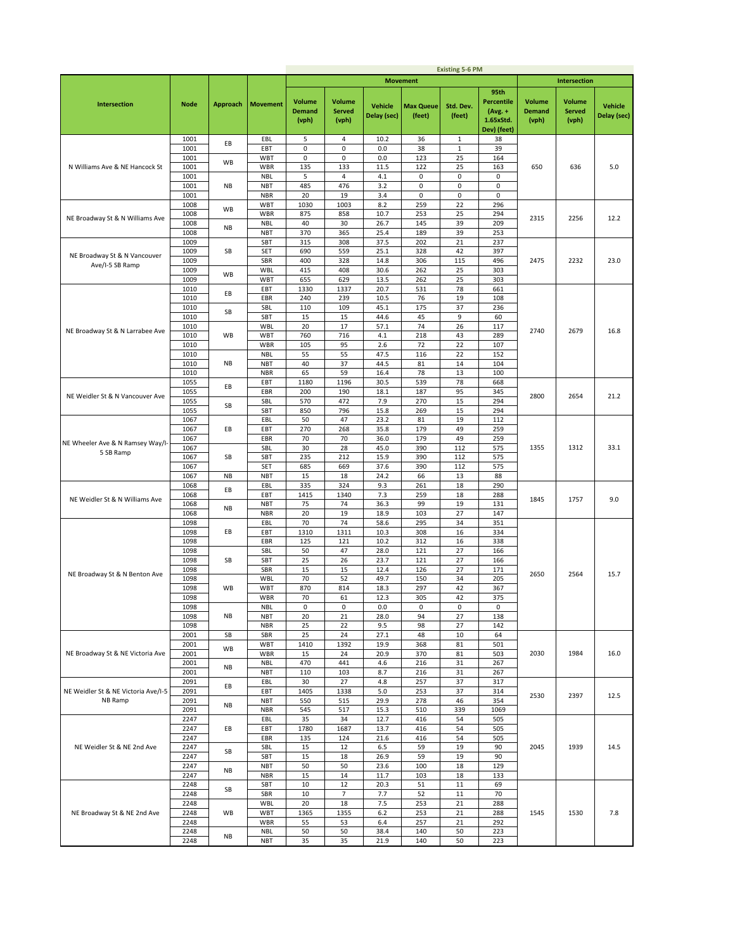|                                                 |              |                 |                          |                                         |                                         |                               |                            | <b>Existing 5-6 PM</b> |                                                                    |                                         |                                         |                               |
|-------------------------------------------------|--------------|-----------------|--------------------------|-----------------------------------------|-----------------------------------------|-------------------------------|----------------------------|------------------------|--------------------------------------------------------------------|-----------------------------------------|-----------------------------------------|-------------------------------|
|                                                 |              |                 |                          |                                         |                                         |                               | <b>Movement</b>            |                        |                                                                    |                                         | <b>Intersection</b>                     |                               |
| Intersection                                    | <b>Node</b>  | <b>Approach</b> | <b>Movement</b>          | <b>Volume</b><br><b>Demand</b><br>(vph) | <b>Volume</b><br><b>Served</b><br>(vph) | <b>Vehicle</b><br>Delay (sec) | <b>Max Queue</b><br>(feet) | Std. Dev.<br>(feet)    | 95th<br><b>Percentile</b><br>$(Avg. +$<br>1.65xStd.<br>Dev) (feet) | <b>Volume</b><br><b>Demand</b><br>(vph) | <b>Volume</b><br><b>Served</b><br>(vph) | <b>Vehicle</b><br>Delay (sec) |
|                                                 | 1001         | EВ              | EBL                      | 5                                       | 4                                       | 10.2                          | 36                         | 1                      | 38                                                                 |                                         |                                         |                               |
|                                                 | 1001         |                 | EBT                      | 0                                       | 0                                       | 0.0                           | 38                         | $\mathbf 1$            | 39                                                                 |                                         |                                         |                               |
|                                                 | 1001<br>1001 | WB              | WBT<br>WBR               | 0<br>135                                | 0<br>133                                | 0.0<br>11.5                   | 123<br>122                 | 25<br>25               | 164<br>163                                                         | 650                                     | 636                                     |                               |
| N Williams Ave & NE Hancock St                  | 1001         |                 | <b>NBL</b>               | 5                                       | 4                                       | 4.1                           | 0                          | 0                      | 0                                                                  |                                         |                                         | 5.0                           |
|                                                 | 1001         | NB              | <b>NBT</b>               | 485                                     | 476                                     | 3.2                           | 0                          | 0                      | 0                                                                  |                                         |                                         |                               |
|                                                 | 1001         |                 | <b>NBR</b>               | 20                                      | 19                                      | 3.4                           | 0                          | 0                      | $\mathsf 0$                                                        |                                         |                                         |                               |
|                                                 | 1008         | WB              | WBT                      | 1030                                    | 1003                                    | 8.2                           | 259                        | 22                     | 296                                                                |                                         |                                         |                               |
| NE Broadway St & N Williams Ave                 | 1008         |                 | <b>WBR</b>               | 875                                     | 858                                     | 10.7                          | 253                        | 25                     | 294                                                                | 2315                                    | 2256                                    | 12.2                          |
|                                                 | 1008<br>1008 | NB              | <b>NBL</b><br><b>NBT</b> | 40<br>370                               | 30<br>365                               | 26.7<br>25.4                  | 145<br>189                 | 39<br>39               | 209<br>253                                                         |                                         |                                         |                               |
|                                                 | 1009         |                 | SBT                      | 315                                     | 308                                     | 37.5                          | 202                        | 21                     | 237                                                                |                                         |                                         |                               |
|                                                 | 1009         | SB              | SET                      | 690                                     | 559                                     | 25.1                          | 328                        | 42                     | 397                                                                |                                         |                                         |                               |
| NE Broadway St & N Vancouver<br>Ave/I-5 SB Ramp | 1009         |                 | SBR                      | 400                                     | 328                                     | 14.8                          | 306                        | 115                    | 496                                                                | 2475                                    | 2232                                    | 23.0                          |
|                                                 | 1009         | WB              | WBL                      | 415                                     | 408                                     | 30.6                          | 262                        | 25                     | 303                                                                |                                         |                                         |                               |
|                                                 | 1009         |                 | WBT<br>EBT               | 655<br>1330                             | 629<br>1337                             | 13.5<br>20.7                  | 262<br>531                 | 25<br>78               | 303<br>661                                                         |                                         |                                         |                               |
|                                                 | 1010<br>1010 | EB              | EBR                      | 240                                     | 239                                     | 10.5                          | 76                         | 19                     | 108                                                                |                                         |                                         |                               |
|                                                 | 1010         |                 | SBL                      | 110                                     | 109                                     | 45.1                          | 175                        | 37                     | 236                                                                |                                         |                                         |                               |
|                                                 | 1010         | SB              | SBT                      | 15                                      | 15                                      | 44.6                          | 45                         | 9                      | 60                                                                 |                                         |                                         |                               |
| NE Broadway St & N Larrabee Ave                 | 1010         |                 | WBL                      | 20                                      | 17                                      | 57.1                          | 74                         | 26                     | 117                                                                | 2740                                    | 2679                                    | 16.8                          |
|                                                 | 1010         | WB              | <b>WBT</b>               | 760                                     | 716                                     | 4.1                           | 218                        | 43                     | 289                                                                |                                         |                                         |                               |
|                                                 | 1010         |                 | WBR                      | 105                                     | 95<br>55                                | 2.6                           | 72                         | 22                     | 107                                                                |                                         |                                         |                               |
|                                                 | 1010<br>1010 | NB              | <b>NBL</b><br><b>NBT</b> | 55<br>40                                | 37                                      | 47.5<br>44.5                  | 116<br>81                  | 22<br>14               | 152<br>104                                                         |                                         |                                         |                               |
|                                                 | 1010         |                 | <b>NBR</b>               | 65                                      | 59                                      | 16.4                          | 78                         | 13                     | 100                                                                |                                         |                                         |                               |
|                                                 | 1055         |                 | EBT                      | 1180                                    | 1196                                    | 30.5                          | 539                        | 78                     | 668                                                                |                                         |                                         |                               |
| NE Weidler St & N Vancouver Ave                 | 1055         | EB              | EBR                      | 200                                     | 190                                     | 18.1                          | 187                        | 95                     | 345                                                                | 2800                                    | 2654                                    | 21.2                          |
|                                                 | 1055         | SB              | SBL                      | 570                                     | 472                                     | 7.9                           | 270                        | 15                     | 294                                                                |                                         |                                         |                               |
|                                                 | 1055         |                 | SBT                      | 850                                     | 796                                     | 15.8                          | 269                        | 15                     | 294                                                                |                                         |                                         |                               |
|                                                 | 1067<br>1067 | EВ              | EBL<br>EBT               | 50<br>270                               | 47<br>268                               | 23.2<br>35.8                  | 81<br>179                  | 19<br>49               | 112<br>259                                                         |                                         |                                         |                               |
| NE Wheeler Ave & N Ramsey Way/I-                | 1067         |                 | EBR                      | 70                                      | 70                                      | 36.0                          | 179                        | 49                     | 259                                                                |                                         |                                         |                               |
|                                                 | 1067         |                 | SBL                      | 30                                      | 28                                      | 45.0                          | 390                        | 112                    | 575                                                                | 1355                                    | 1312                                    | 33.1                          |
| 5 SB Ramp                                       | 1067         | SB              | SBT                      | 235                                     | 212                                     | 15.9                          | 390                        | 112                    | 575                                                                |                                         |                                         |                               |
|                                                 | 1067         |                 | SET                      | 685                                     | 669                                     | 37.6                          | 390                        | 112                    | 575                                                                |                                         |                                         |                               |
|                                                 | 1067         | <b>NB</b>       | <b>NBT</b>               | 15                                      | 18                                      | 24.2                          | 66                         | 13                     | 88                                                                 |                                         |                                         |                               |
|                                                 | 1068<br>1068 | EВ              | EBL<br>EBT               | 335<br>1415                             | 324<br>1340                             | 9.3<br>7.3                    | 261<br>259                 | 18<br>18               | 290<br>288                                                         |                                         |                                         |                               |
| NE Weidler St & N Williams Ave                  | 1068         |                 | <b>NBT</b>               | 75                                      | 74                                      | 36.3                          | 99                         | 19                     | 131                                                                | 1845                                    | 1757                                    | 9.0                           |
|                                                 | 1068         | NB              | <b>NBR</b>               | 20                                      | 19                                      | 18.9                          | 103                        | 27                     | 147                                                                |                                         |                                         |                               |
|                                                 | 1098         |                 | EBL                      | 70                                      | 74                                      | 58.6                          | 295                        | 34                     | 351                                                                |                                         |                                         |                               |
|                                                 | 1098         | EВ              | EBT                      | 1310                                    | 1311                                    | 10.3                          | 308                        | 16                     | 334                                                                |                                         |                                         |                               |
|                                                 | 1098<br>1098 |                 | EBR<br>SBL               | 125<br>50                               | 121<br>47                               | 10.2<br>28.0                  | 312<br>121                 | 16<br>27               | 338<br>166                                                         |                                         |                                         |                               |
|                                                 | 1098         | SB              | SBT                      | 25                                      | 26                                      | 23.7                          | 121                        | 27                     | 166                                                                |                                         |                                         |                               |
|                                                 | 1098         |                 | SBR                      | 15                                      | 15                                      | 12.4                          | 126                        | 27                     | 171                                                                |                                         |                                         |                               |
| NE Broadway St & N Benton Ave                   | 1098         |                 | WBL                      | 70                                      | 52                                      | 49.7                          | 150                        | 34                     | 205                                                                | 2650                                    | 2564                                    | 15.7                          |
|                                                 | 1098         | <b>WB</b>       | WBT                      | 870                                     | 814                                     | 18.3                          | 297                        | 42                     | 367                                                                |                                         |                                         |                               |
|                                                 | 1098         |                 | WBR                      | 70                                      | 61                                      | 12.3                          | 305                        | 42                     | 375                                                                |                                         |                                         |                               |
|                                                 | 1098<br>1098 | NB              | NBL<br>NBT               | 0<br>20                                 | 0<br>21                                 | 0.0<br>28.0                   | 0<br>94                    | 0<br>27                | 0<br>138                                                           |                                         |                                         |                               |
|                                                 | 1098         |                 | <b>NBR</b>               | 25                                      | 22                                      | 9.5                           | 98                         | 27                     | 142                                                                |                                         |                                         |                               |
|                                                 | 2001         | SB              | SBR                      | 25                                      | 24                                      | 27.1                          | 48                         | 10                     | 64                                                                 |                                         |                                         |                               |
|                                                 | 2001         | WB              | <b>WBT</b>               | 1410                                    | 1392                                    | 19.9                          | 368                        | 81                     | 501                                                                |                                         |                                         |                               |
| NE Broadway St & NE Victoria Ave                | 2001         |                 | WBR                      | 15                                      | 24                                      | 20.9                          | 370                        | 81                     | 503                                                                | 2030                                    | 1984                                    | 16.0                          |
|                                                 | 2001<br>2001 | <b>NB</b>       | <b>NBL</b><br><b>NBT</b> | 470<br>110                              | 441<br>103                              | 4.6<br>8.7                    | 216<br>216                 | 31<br>31               | 267<br>267                                                         |                                         |                                         |                               |
|                                                 | 2091         |                 | EBL                      | 30                                      | 27                                      | 4.8                           | 257                        | 37                     | 317                                                                |                                         |                                         |                               |
| NE Weidler St & NE Victoria Ave/I-5             | 2091         | ΕВ              | EBT                      | 1405                                    | 1338                                    | 5.0                           | 253                        | 37                     | 314                                                                |                                         |                                         |                               |
| NB Ramp                                         | 2091         | NB              | <b>NBT</b>               | 550                                     | 515                                     | 29.9                          | 278                        | 46                     | 354                                                                | 2530                                    | 2397                                    | 12.5                          |
|                                                 | 2091         |                 | <b>NBR</b>               | 545                                     | 517                                     | 15.3                          | 510                        | 339                    | 1069                                                               |                                         |                                         |                               |
|                                                 | 2247         |                 | EBL                      | 35                                      | 34                                      | 12.7                          | 416                        | 54                     | 505                                                                |                                         |                                         |                               |
|                                                 | 2247<br>2247 | EВ              | EBT<br>EBR               | 1780<br>135                             | 1687<br>124                             | 13.7<br>21.6                  | 416<br>416                 | 54<br>54               | 505<br>505                                                         |                                         |                                         |                               |
| NE Weidler St & NE 2nd Ave                      | 2247         |                 | SBL                      | 15                                      | 12                                      | 6.5                           | 59                         | 19                     | 90                                                                 | 2045                                    | 1939                                    | 14.5                          |
|                                                 | 2247         | SB              | SBT                      | 15                                      | 18                                      | 26.9                          | 59                         | 19                     | 90                                                                 |                                         |                                         |                               |
|                                                 | 2247         | <b>NB</b>       | <b>NBT</b>               | 50                                      | 50                                      | 23.6                          | 100                        | 18                     | 129                                                                |                                         |                                         |                               |
|                                                 | 2247         |                 | <b>NBR</b>               | 15                                      | 14                                      | 11.7                          | 103                        | 18                     | 133                                                                |                                         |                                         |                               |
|                                                 | 2248<br>2248 | SB              | SBT<br>SBR               | 10<br>10                                | 12<br>7                                 | 20.3<br>7.7                   | 51<br>52                   | 11<br>11               | 69<br>70                                                           |                                         |                                         |                               |
|                                                 | 2248         |                 | <b>WBL</b>               | 20                                      | 18                                      | 7.5                           | 253                        | 21                     | 288                                                                |                                         |                                         |                               |
| NE Broadway St & NE 2nd Ave                     | 2248         | WB              | <b>WBT</b>               | 1365                                    | 1355                                    | $6.2$                         | 253                        | 21                     | 288                                                                | 1545                                    | 1530                                    | 7.8                           |
|                                                 | 2248         |                 | WBR                      | 55                                      | 53                                      | 6.4                           | 257                        | 21                     | 292                                                                |                                         |                                         |                               |
|                                                 | 2248         | <b>NB</b>       | <b>NBL</b>               | 50                                      | 50                                      | 38.4                          | 140                        | 50                     | 223                                                                |                                         |                                         |                               |
|                                                 | 2248         |                 | <b>NBT</b>               | 35                                      | 35                                      | 21.9                          | 140                        | 50                     | 223                                                                |                                         |                                         |                               |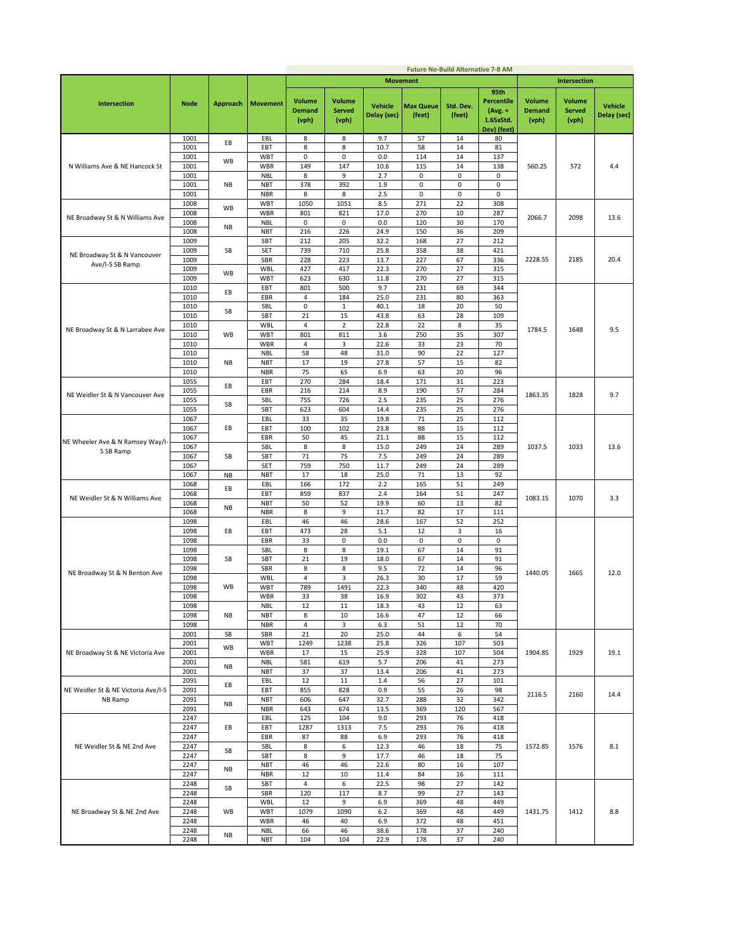|                                     |              |           |                          |                                         |                                         |                               |                     | <b>Future No-Build Alternative 7-8 AM</b> |                                                                    |                                         |                                         |                        |
|-------------------------------------|--------------|-----------|--------------------------|-----------------------------------------|-----------------------------------------|-------------------------------|---------------------|-------------------------------------------|--------------------------------------------------------------------|-----------------------------------------|-----------------------------------------|------------------------|
|                                     |              |           |                          |                                         |                                         |                               | <b>Movement</b>     |                                           |                                                                    |                                         | <b>Intersection</b>                     |                        |
| <b>Intersection</b>                 | <b>Node</b>  | Approach  | <b>Movement</b>          | <b>Volume</b><br><b>Demand</b><br>(vph) | <b>Volume</b><br><b>Served</b><br>(vph) | <b>Vehicle</b><br>Delay (sec) | Max Queue<br>(feet) | Std. Dev.<br>(feet)                       | 95th<br><b>Percentile</b><br>$(Avg. +$<br>1.65xStd.<br>Dev) (feet) | <b>Volume</b><br><b>Demand</b><br>(vph) | <b>Volume</b><br><b>Served</b><br>(vph) | Vehicle<br>Delay (sec) |
|                                     | 1001         | EВ        | EBL                      | 8                                       | 8                                       | 9.7                           | 57                  | 14                                        | 80                                                                 |                                         |                                         |                        |
|                                     | 1001         |           | EBT                      | 8                                       | 8                                       | 10.7                          | 58                  | 14                                        | 81                                                                 |                                         |                                         |                        |
|                                     | 1001         | WB        | <b>WBT</b>               | 0                                       | 0                                       | 0.0                           | 114                 | 14                                        | 137                                                                |                                         |                                         |                        |
| N Williams Ave & NE Hancock St      | 1001         |           | <b>WBR</b>               | 149                                     | 147                                     | 10.6                          | 115                 | 14                                        | 138                                                                | 560.25                                  | 572                                     | 4.4                    |
|                                     | 1001         |           | <b>NBL</b>               | 8                                       | 9                                       | 2.7                           | 0                   | 0                                         | 0                                                                  |                                         |                                         |                        |
|                                     | 1001         | NB        | <b>NBT</b>               | 378                                     | 392                                     | 1.9                           | 0                   | $\mathbf 0$                               | $\mathbf 0$                                                        |                                         |                                         |                        |
|                                     | 1001         |           | <b>NBR</b>               | 8                                       | 8                                       | 2.5                           | 0                   | 0                                         | $\mathbf 0$                                                        |                                         |                                         |                        |
|                                     | 1008         | WB        | <b>WBT</b>               | 1050                                    | 1051                                    | 8.5                           | 271                 | 22                                        | 308                                                                |                                         |                                         |                        |
| NE Broadway St & N Williams Ave     | 1008         |           | <b>WBR</b>               | 801                                     | 821                                     | 17.0                          | 270                 | 10                                        | 287                                                                | 2066.7                                  | 2098                                    | 13.6                   |
|                                     | 1008<br>1008 | NB        | <b>NBL</b><br><b>NBT</b> | 0<br>216                                | $\mathsf 0$<br>226                      | 0.0<br>24.9                   | 120<br>150          | 30<br>36                                  | 170<br>209                                                         |                                         |                                         |                        |
|                                     | 1009         |           | SBT                      | 212                                     | 205                                     | 32.2                          | 168                 | 27                                        | 212                                                                |                                         |                                         |                        |
|                                     | 1009         | SB        | <b>SET</b>               | 739                                     | 710                                     | 25.8                          | 358                 | 38                                        | 421                                                                |                                         |                                         |                        |
| NE Broadway St & N Vancouver        | 1009         |           | <b>SBR</b>               | 228                                     | 223                                     | 13.7                          | 227                 | 67                                        | 336                                                                | 2228.55                                 | 2185                                    | 20.4                   |
| Ave/I-5 SB Ramp                     | 1009         |           | <b>WBL</b>               | 427                                     | 417                                     | 22.3                          | 270                 | 27                                        | 315                                                                |                                         |                                         |                        |
|                                     | 1009         | <b>WB</b> | <b>WBT</b>               | 623                                     | 630                                     | 11.8                          | 270                 | 27                                        | 315                                                                |                                         |                                         |                        |
|                                     | 1010         |           | EBT                      | 801                                     | 500                                     | 9.7                           | 231                 | 69                                        | 344                                                                |                                         |                                         |                        |
|                                     | 1010         | EВ        | EBR                      | 4                                       | 184                                     | 25.0                          | 231                 | 80                                        | 363                                                                |                                         |                                         |                        |
|                                     | 1010         |           | SBL                      | 0                                       | $\mathbf 1$                             | 40.1                          | 18                  | 20                                        | 50                                                                 |                                         |                                         |                        |
|                                     | 1010         | SB        | SBT                      | 21                                      | 15                                      | 43.8                          | 63                  | 28                                        | 109                                                                |                                         |                                         |                        |
|                                     | 1010         |           | WBL                      | 4                                       | $\overline{2}$                          | 22.8                          | 22                  | 8                                         | 35                                                                 | 1784.5                                  | 1648                                    | 9.5                    |
| NE Broadway St & N Larrabee Ave     | 1010         | WB        | <b>WBT</b>               | 801                                     | 811                                     | 3.6                           | 250                 | 35                                        | 307                                                                |                                         |                                         |                        |
|                                     | 1010         |           | <b>WBR</b>               | 4                                       | 3                                       | 22.6                          | 33                  | 23                                        | 70                                                                 |                                         |                                         |                        |
|                                     | 1010         |           | <b>NBL</b>               | 58                                      | 48                                      | 31.0                          | 90                  | 22                                        | 127                                                                |                                         |                                         |                        |
|                                     | 1010         | NB        | <b>NBT</b>               | 17                                      | 19                                      | 27.8                          | 57                  | 15                                        | 82                                                                 |                                         |                                         |                        |
|                                     | 1010         |           | <b>NBR</b>               | 75                                      | 65                                      | 6.9                           | 63                  | 20                                        | 96                                                                 |                                         |                                         |                        |
|                                     | 1055         | EВ        | EBT                      | 270                                     | 284                                     | 18.4                          | 171                 | 31                                        | 223                                                                |                                         |                                         |                        |
| NE Weidler St & N Vancouver Ave     | 1055         |           | EBR                      | 216                                     | 214                                     | 8.9                           | 190                 | 57                                        | 284                                                                | 1863.35                                 | 1828                                    | 9.7                    |
|                                     | 1055         | SB        | SBL                      | 755                                     | 726                                     | 2.5                           | 235                 | 25                                        | 276                                                                |                                         |                                         |                        |
|                                     | 1055         |           | SBT                      | 623                                     | 604                                     | 14.4                          | 235                 | 25                                        | 276                                                                |                                         |                                         |                        |
|                                     | 1067         |           | EBL                      | 33                                      | 35                                      | 19.8                          | 71                  | 25                                        | 112                                                                |                                         |                                         |                        |
|                                     | 1067         | EВ        | EBT                      | 100                                     | 102                                     | 23.8                          | 88                  | 15                                        | 112                                                                |                                         |                                         |                        |
| NE Wheeler Ave & N Ramsey Way/I-    | 1067         |           | EBR                      | 50                                      | 45                                      | 21.1                          | 88                  | 15                                        | 112                                                                |                                         |                                         |                        |
| 5 SB Ramp                           | 1067<br>1067 |           | SBL<br>SBT               | 8<br>71                                 | 8<br>75                                 | 15.0<br>7.5                   | 249<br>249          | 24<br>24                                  | 289<br>289                                                         | 1037.5                                  | 1033                                    | 13.6                   |
|                                     | 1067         | SB        | <b>SET</b>               | 759                                     | 750                                     | 11.7                          | 249                 | 24                                        | 289                                                                |                                         |                                         |                        |
|                                     | 1067         | <b>NB</b> | <b>NBT</b>               | 17                                      | 18                                      | 25.0                          | 71                  | 13                                        | 92                                                                 |                                         |                                         |                        |
|                                     | 1068         |           | EBL                      | 166                                     | 172                                     | 2.2                           | 165                 | 51                                        | 249                                                                |                                         |                                         |                        |
|                                     | 1068         | EВ        | EBT                      | 859                                     | 837                                     | 2.4                           | 164                 | 51                                        | 247                                                                |                                         |                                         |                        |
| NE Weidler St & N Williams Ave      | 1068         |           | <b>NBT</b>               | 50                                      | 52                                      | 19.9                          | 60                  | 13                                        | 82                                                                 | 1083.15                                 | 1070                                    | 3.3                    |
|                                     | 1068         | NB        | <b>NBR</b>               | 8                                       | 9                                       | 11.7                          | 82                  | 17                                        | 111                                                                |                                         |                                         |                        |
|                                     | 1098         |           | EBL                      | 46                                      | 46                                      | 28.6                          | 167                 | 52                                        | 252                                                                |                                         |                                         |                        |
|                                     | 1098         | EВ        | EBT                      | 473                                     | 28                                      | 5.1                           | 12                  | 3                                         | 16                                                                 |                                         |                                         |                        |
|                                     | 1098         |           | EBR                      | 33                                      | 0                                       | 0.0                           | 0                   | 0                                         | 0                                                                  |                                         |                                         |                        |
|                                     | 1098         |           | SBL                      | 8                                       | 8                                       | 19.1                          | 67                  | 14                                        | 91                                                                 |                                         |                                         |                        |
|                                     | 1098         | SB        | SBT                      | 21                                      | 19                                      | 18.0                          | 67                  | 14                                        | 91                                                                 |                                         |                                         |                        |
| NE Broadway St & N Benton Ave       | 1098         |           | SBR                      | 8                                       | 8                                       | 9.5                           | 72                  | 14                                        | 96                                                                 | 1440.05                                 | 1665                                    | 12.0                   |
|                                     | 1098         |           | WBL                      | 4                                       | 3                                       | 26.3                          | 30                  | 17                                        | 59                                                                 |                                         |                                         |                        |
|                                     | 1098         | WB        | <b>WBT</b>               | 789                                     | 1491                                    | 22.3                          | 340                 | 48                                        | 420                                                                |                                         |                                         |                        |
|                                     | 1098         |           | <b>WBR</b>               | 33                                      | 38                                      | 16.9                          | 302                 | 43                                        | 373                                                                |                                         |                                         |                        |
|                                     | 1098         |           | <b>NRL</b>               | 12                                      | 11                                      | 18.3                          | 43                  | 12                                        | ьs                                                                 |                                         |                                         |                        |
|                                     | 1098         | ΝB        | <b>NBT</b>               | 8                                       | 10                                      | 16.6                          | 47                  | 12                                        | 66                                                                 |                                         |                                         |                        |
|                                     | 1098<br>2001 | SB        | NBR<br>SBR               | 4<br>21                                 | 3<br>20                                 | 6.3<br>25.0                   | 51<br>44            | 12<br>6                                   | 70<br>54                                                           |                                         |                                         |                        |
|                                     | 2001         |           | WBT                      | 1249                                    | 1238                                    | 25.8                          | 326                 | 107                                       | 503                                                                |                                         |                                         |                        |
| NE Broadway St & NE Victoria Ave    | 2001         | WB        | <b>WBR</b>               | 17                                      | 15                                      | 25.9                          | 328                 | 107                                       | 504                                                                | 1904.85                                 | 1929                                    | 19.1                   |
|                                     | 2001         |           | <b>NBL</b>               | 581                                     | 619                                     | 5.7                           | 206                 | 41                                        | 273                                                                |                                         |                                         |                        |
|                                     | 2001         | ΝB        | <b>NBT</b>               | 37                                      | 37                                      | 13.4                          | 206                 | 41                                        | 273                                                                |                                         |                                         |                        |
|                                     | 2091         |           | EBL                      | 12                                      | 11                                      | 1.4                           | 56                  | 27                                        | 101                                                                |                                         |                                         |                        |
| NE Weidler St & NE Victoria Ave/I-5 | 2091         | EВ        | EBT                      | 855                                     | 828                                     | 0.9                           | 55                  | 26                                        | 98                                                                 |                                         |                                         |                        |
| NB Ramp                             | 2091         |           | <b>NBT</b>               | 606                                     | 647                                     | 32.7                          | 288                 | 32                                        | 342                                                                | 2116.5                                  | 2160                                    | 14.4                   |
|                                     | 2091         | ΝB        | <b>NBR</b>               | 643                                     | 674                                     | 13.5                          | 369                 | 120                                       | 567                                                                |                                         |                                         |                        |
|                                     | 2247         |           | EBL                      | 125                                     | 104                                     | 9.0                           | 293                 | 76                                        | 418                                                                |                                         |                                         |                        |
|                                     | 2247         | EВ        | EBT                      | 1287                                    | 1313                                    | 7.5                           | 293                 | 76                                        | 418                                                                |                                         |                                         |                        |
|                                     | 2247         |           | EBR                      | 87                                      | 88                                      | 6.9                           | 293                 | 76                                        | 418                                                                |                                         |                                         |                        |
| NE Weidler St & NE 2nd Ave          | 2247         | SB        | SBL                      | 8                                       | 6                                       | 12.3                          | 46                  | 18                                        | 75                                                                 | 1572.85                                 | 1576                                    | 8.1                    |
|                                     | 2247         |           | SBT                      | 8                                       | 9                                       | 17.7                          | 46                  | 18                                        | 75                                                                 |                                         |                                         |                        |
|                                     | 2247         | ΝB        | <b>NBT</b>               | 46                                      | 46                                      | 22.6                          | 80                  | 16                                        | 107                                                                |                                         |                                         |                        |
|                                     | 2247         |           | <b>NBR</b>               | 12                                      | 10                                      | 11.4                          | 84                  | 16                                        | 111                                                                |                                         |                                         |                        |
|                                     | 2248         | SВ        | SBT                      | 4                                       | 6                                       | 22.5                          | 98                  | 27                                        | 142                                                                |                                         |                                         |                        |
|                                     | 2248         |           | SBR                      | 120                                     | 117                                     | 8.7                           | 99                  | 27                                        | 143                                                                |                                         |                                         |                        |
|                                     | 2248         |           | WBL                      | 12                                      | 9                                       | 6.9                           | 369                 | 48                                        | 449                                                                |                                         |                                         |                        |
| NE Broadway St & NE 2nd Ave         | 2248         | WB        | <b>WBT</b>               | 1079                                    | 1090                                    | 6.2                           | 369                 | 48                                        | 449                                                                | 1431.75                                 | 1412                                    | 8.8                    |
|                                     | 2248         |           | WBR                      | 46                                      | 40<br>46                                | 6.9                           | 372<br>178          | 48                                        | 451<br>240                                                         |                                         |                                         |                        |
|                                     | 2248<br>2248 | ΝB        | <b>NBL</b><br><b>NBT</b> | 66<br>104                               | 104                                     | 38.6<br>22.9                  | 178                 | 37<br>37                                  | 240                                                                |                                         |                                         |                        |
|                                     |              |           |                          |                                         |                                         |                               |                     |                                           |                                                                    |                                         |                                         |                        |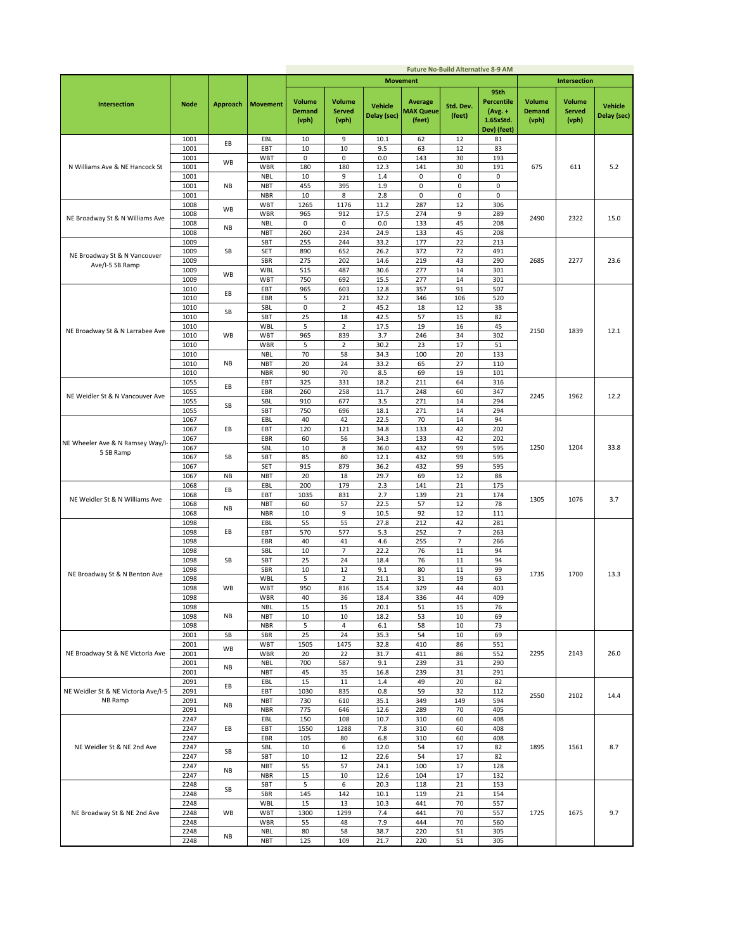|                                     |              |                 |                          |                                         |                                         |                               |                                       | <b>Future No-Build Alternative 8-9 AM</b> |                                                                    |                                         |                                         |                               |
|-------------------------------------|--------------|-----------------|--------------------------|-----------------------------------------|-----------------------------------------|-------------------------------|---------------------------------------|-------------------------------------------|--------------------------------------------------------------------|-----------------------------------------|-----------------------------------------|-------------------------------|
|                                     |              |                 |                          |                                         |                                         |                               | <b>Movement</b>                       |                                           |                                                                    |                                         | <b>Intersection</b>                     |                               |
| <b>Intersection</b>                 | <b>Node</b>  | <b>Approach</b> | <b>Movement</b>          | <b>Volume</b><br><b>Demand</b><br>(vph) | <b>Volume</b><br><b>Served</b><br>(vph) | <b>Vehicle</b><br>Delay (sec) | Average<br><b>MAX Queue</b><br>(feet) | Std. Dev.<br>(feet)                       | 95th<br><b>Percentile</b><br>$(Avg. +$<br>1.65xStd.<br>Dev) (feet) | <b>Volume</b><br><b>Demand</b><br>(vph) | <b>Volume</b><br><b>Served</b><br>(vph) | <b>Vehicle</b><br>Delay (sec) |
|                                     | 1001         | EВ              | EBL                      | 10                                      | 9                                       | 10.1                          | 62                                    | 12                                        | 81                                                                 |                                         |                                         |                               |
|                                     | 1001         |                 | EBT                      | 10                                      | 10                                      | 9.5                           | 63                                    | 12                                        | 83                                                                 |                                         |                                         |                               |
| N Williams Ave & NE Hancock St      | 1001<br>1001 | WB              | WBT<br>WBR               | 0<br>180                                | 0<br>180                                | 0.0<br>12.3                   | 143<br>141                            | 30<br>30                                  | 193<br>191                                                         | 675                                     | 611                                     |                               |
|                                     | 1001         |                 | <b>NBL</b>               | 10                                      | 9                                       | 1.4                           | 0                                     | $\pmb{0}$                                 | 0                                                                  |                                         |                                         | 5.2                           |
|                                     | 1001         | NB              | <b>NBT</b>               | 455                                     | 395                                     | 1.9                           | 0                                     | 0                                         | 0                                                                  |                                         |                                         |                               |
|                                     | 1001         |                 | <b>NBR</b>               | 10                                      | 8                                       | 2.8                           | 0                                     | 0                                         | $\mathsf 0$                                                        |                                         |                                         |                               |
|                                     | 1008         | <b>WB</b>       | WBT                      | 1265                                    | 1176                                    | 11.2                          | 287                                   | 12                                        | 306                                                                |                                         |                                         |                               |
| NE Broadway St & N Williams Ave     | 1008         |                 | WBR                      | 965                                     | 912                                     | 17.5                          | 274                                   | 9                                         | 289                                                                | 2490                                    | 2322                                    | 15.0                          |
|                                     | 1008<br>1008 | NB              | <b>NBL</b><br><b>NBT</b> | $\pmb{0}$<br>260                        | $\mathsf 0$<br>234                      | 0.0<br>24.9                   | 133<br>133                            | 45<br>45                                  | 208<br>208                                                         |                                         |                                         |                               |
|                                     | 1009         |                 | SBT                      | 255                                     | 244                                     | 33.2                          | 177                                   | 22                                        | 213                                                                |                                         |                                         |                               |
| NE Broadway St & N Vancouver        | 1009         | SB              | SET                      | 890                                     | 652                                     | 26.2                          | 372                                   | 72                                        | 491                                                                |                                         |                                         |                               |
| Ave/I-5 SB Ramp                     | 1009         |                 | SBR                      | 275                                     | 202                                     | 14.6                          | 219                                   | 43                                        | 290                                                                | 2685                                    | 2277                                    | 23.6                          |
|                                     | 1009<br>1009 | WB              | WBL<br>WBT               | 515<br>750                              | 487<br>692                              | 30.6<br>15.5                  | 277<br>277                            | 14<br>14                                  | 301                                                                |                                         |                                         |                               |
|                                     | 1010         |                 | EBT                      | 965                                     | 603                                     | 12.8                          | 357                                   | 91                                        | 301<br>507                                                         |                                         |                                         |                               |
|                                     | 1010         | EB              | EBR                      | 5                                       | 221                                     | 32.2                          | 346                                   | 106                                       | 520                                                                |                                         |                                         |                               |
|                                     | 1010         | SB              | SBL                      | 0                                       | $\overline{2}$                          | 45.2                          | 18                                    | 12                                        | 38                                                                 |                                         |                                         |                               |
|                                     | 1010         |                 | SBT                      | 25                                      | 18                                      | 42.5                          | 57                                    | 15                                        | 82                                                                 |                                         |                                         |                               |
| NE Broadway St & N Larrabee Ave     | 1010         |                 | WBL                      | 5                                       | $\overline{2}$                          | 17.5                          | 19                                    | 16                                        | 45                                                                 | 2150                                    | 1839                                    | 12.1                          |
|                                     | 1010<br>1010 | WB              | <b>WBT</b><br>WBR        | 965<br>5                                | 839<br>$\overline{2}$                   | 3.7<br>30.2                   | 246<br>23                             | 34<br>17                                  | 302<br>51                                                          |                                         |                                         |                               |
|                                     | 1010         |                 | <b>NBL</b>               | 70                                      | 58                                      | 34.3                          | 100                                   | 20                                        | 133                                                                |                                         |                                         |                               |
|                                     | 1010         | NB              | <b>NBT</b>               | 20                                      | 24                                      | 33.2                          | 65                                    | 27                                        | 110                                                                |                                         |                                         |                               |
|                                     | 1010         |                 | <b>NBR</b>               | 90                                      | 70                                      | 8.5                           | 69                                    | 19                                        | 101                                                                |                                         |                                         |                               |
|                                     | 1055         | EB              | EBT                      | 325                                     | 331                                     | 18.2                          | 211                                   | 64                                        | 316                                                                |                                         |                                         |                               |
| NE Weidler St & N Vancouver Ave     | 1055<br>1055 |                 | EBR<br>SBL               | 260<br>910                              | 258<br>677                              | 11.7<br>3.5                   | 248<br>271                            | 60<br>14                                  | 347<br>294                                                         | 2245                                    | 1962                                    | 12.2                          |
|                                     | 1055         | SB              | SBT                      | 750                                     | 696                                     | 18.1                          | 271                                   | 14                                        | 294                                                                |                                         |                                         |                               |
|                                     | 1067         |                 | EBL                      | 40                                      | 42                                      | 22.5                          | 70                                    | 14                                        | 94                                                                 |                                         |                                         |                               |
| NE Wheeler Ave & N Ramsey Way/I-    | 1067         | EВ              | EBT                      | 120                                     | 121                                     | 34.8                          | 133                                   | 42                                        | 202                                                                |                                         |                                         |                               |
|                                     | 1067         |                 | EBR                      | 60                                      | 56                                      | 34.3                          | 133                                   | 42                                        | 202                                                                |                                         |                                         |                               |
| 5 SB Ramp                           | 1067         |                 | SBL                      | 10                                      | 8                                       | 36.0                          | 432                                   | 99                                        | 595                                                                | 1250                                    | 1204                                    | 33.8                          |
|                                     | 1067<br>1067 | SB              | SBT<br>SET               | 85<br>915                               | 80<br>879                               | 12.1<br>36.2                  | 432<br>432                            | 99<br>99                                  | 595<br>595                                                         |                                         |                                         |                               |
|                                     | 1067         | <b>NB</b>       | <b>NBT</b>               | 20                                      | 18                                      | 29.7                          | 69                                    | 12                                        | 88                                                                 |                                         |                                         |                               |
|                                     | 1068         | EВ              | EBL                      | 200                                     | 179                                     | 2.3                           | 141                                   | 21                                        | 175                                                                |                                         |                                         |                               |
| NE Weidler St & N Williams Ave      | 1068         |                 | EBT                      | 1035                                    | 831                                     | 2.7                           | 139                                   | 21                                        | 174                                                                | 1305                                    | 1076                                    | 3.7                           |
|                                     | 1068         | NB              | <b>NBT</b>               | 60<br>10                                | 57<br>9                                 | 22.5<br>10.5                  | 57<br>92                              | 12<br>12                                  | 78<br>111                                                          |                                         |                                         |                               |
|                                     | 1068<br>1098 |                 | <b>NBR</b><br>EBL        | 55                                      | 55                                      | 27.8                          | 212                                   | 42                                        | 281                                                                |                                         |                                         |                               |
|                                     | 1098         | EВ              | EBT                      | 570                                     | 577                                     | 5.3                           | 252                                   | $\overline{7}$                            | 263                                                                |                                         |                                         |                               |
|                                     | 1098         |                 | EBR                      | 40                                      | 41                                      | 4.6                           | 255                                   | $\overline{7}$                            | 266                                                                |                                         |                                         |                               |
|                                     | 1098         |                 | SBL                      | 10                                      | 7                                       | 22.2                          | 76                                    | 11                                        | 94                                                                 |                                         |                                         |                               |
|                                     | 1098<br>1098 | SB              | SBT<br>SBR               | 25<br>10                                | 24<br>12                                | 18.4<br>9.1                   | 76<br>80                              | 11<br>11                                  | 94<br>99                                                           |                                         |                                         |                               |
| NE Broadway St & N Benton Ave       | 1098         |                 | WBL                      | 5                                       | $\overline{2}$                          | 21.1                          | 31                                    | 19                                        | 63                                                                 | 1735                                    | 1700                                    | 13.3                          |
|                                     | 1098         | <b>WB</b>       | WBT                      | 950                                     | 816                                     | 15.4                          | 329                                   | 44                                        | 403                                                                |                                         |                                         |                               |
|                                     | 1098         |                 | WBR                      | 40                                      | 36                                      | 18.4                          | 336                                   | 44                                        | 409                                                                |                                         |                                         |                               |
|                                     | 1098         |                 | NBL                      | 15                                      | 15                                      | 20.1                          | 51                                    | 15                                        | 76                                                                 |                                         |                                         |                               |
|                                     | 1098<br>1098 | NB              | NBT<br><b>NBR</b>        | 10<br>5                                 | 10<br>4                                 | 18.2<br>6.1                   | 53<br>58                              | 10<br>10                                  | 69<br>73                                                           |                                         |                                         |                               |
|                                     | 2001         | SB              | SBR                      | 25                                      | 24                                      | 35.3                          | 54                                    | 10                                        | 69                                                                 |                                         |                                         |                               |
|                                     | 2001         | WB              | <b>WBT</b>               | 1505                                    | 1475                                    | 32.8                          | 410                                   | 86                                        | 551                                                                |                                         |                                         |                               |
| NE Broadway St & NE Victoria Ave    | 2001         |                 | WBR                      | 20                                      | 22                                      | 31.7                          | 411                                   | 86                                        | 552                                                                | 2295                                    | 2143                                    | 26.0                          |
|                                     | 2001<br>2001 | <b>NB</b>       | <b>NBL</b><br><b>NBT</b> | 700<br>45                               | 587<br>35                               | 9.1<br>16.8                   | 239<br>239                            | 31<br>31                                  | 290<br>291                                                         |                                         |                                         |                               |
|                                     | 2091         |                 | EBL                      | 15                                      | $11\,$                                  | 1.4                           | 49                                    | 20                                        | 82                                                                 |                                         |                                         |                               |
| NE Weidler St & NE Victoria Ave/I-5 | 2091         | EВ              | EBT                      | 1030                                    | 835                                     | 0.8                           | 59                                    | 32                                        | 112                                                                |                                         | 2102                                    |                               |
| NB Ramp                             | 2091         | NB              | <b>NBT</b>               | 730                                     | 610                                     | 35.1                          | 349                                   | 149                                       | 594                                                                | 2550                                    |                                         | 14.4                          |
|                                     | 2091         |                 | <b>NBR</b>               | 775                                     | 646                                     | 12.6                          | 289                                   | 70                                        | 405                                                                |                                         |                                         |                               |
|                                     | 2247<br>2247 | EВ              | EBL<br>EBT               | 150<br>1550                             | 108<br>1288                             | 10.7<br>7.8                   | 310<br>310                            | 60<br>60                                  | 408<br>408                                                         |                                         |                                         |                               |
|                                     | 2247         |                 | EBR                      | 105                                     | 80                                      | 6.8                           | 310                                   | 60                                        | 408                                                                |                                         |                                         |                               |
| NE Weidler St & NE 2nd Ave          | 2247         |                 | SBL                      | 10                                      | 6                                       | 12.0                          | 54                                    | 17                                        | 82                                                                 | 1895                                    | 1561                                    | 8.7                           |
|                                     | 2247         | SB              | SBT                      | 10                                      | 12                                      | 22.6                          | 54                                    | 17                                        | 82                                                                 |                                         |                                         |                               |
|                                     | 2247         | <b>NB</b>       | <b>NBT</b>               | 55                                      | 57                                      | 24.1                          | 100                                   | 17                                        | 128                                                                |                                         |                                         |                               |
|                                     | 2247<br>2248 |                 | <b>NBR</b><br>SBT        | 15<br>5                                 | $10\,$<br>6                             | 12.6<br>20.3                  | 104<br>118                            | 17<br>21                                  | 132<br>153                                                         |                                         |                                         |                               |
|                                     | 2248         | SB              | SBR                      | 145                                     | 142                                     | 10.1                          | 119                                   | 21                                        | 154                                                                |                                         |                                         |                               |
|                                     | 2248         |                 | WBL                      | 15                                      | 13                                      | 10.3                          | 441                                   | 70                                        | 557                                                                |                                         |                                         |                               |
| NE Broadway St & NE 2nd Ave         | 2248         | WB              | <b>WBT</b>               | 1300                                    | 1299                                    | 7.4                           | 441                                   | 70                                        | 557                                                                | 1725                                    | 1675                                    | 9.7                           |
|                                     | 2248         |                 | WBR                      | 55                                      | 48                                      | 7.9                           | 444                                   | 70                                        | 560                                                                |                                         |                                         |                               |
|                                     | 2248<br>2248 | <b>NB</b>       | <b>NBL</b><br><b>NBT</b> | 80<br>125                               | 58<br>109                               | 38.7<br>21.7                  | 220<br>220                            | 51<br>51                                  | 305<br>305                                                         |                                         |                                         |                               |
|                                     |              |                 |                          |                                         |                                         |                               |                                       |                                           |                                                                    |                                         |                                         |                               |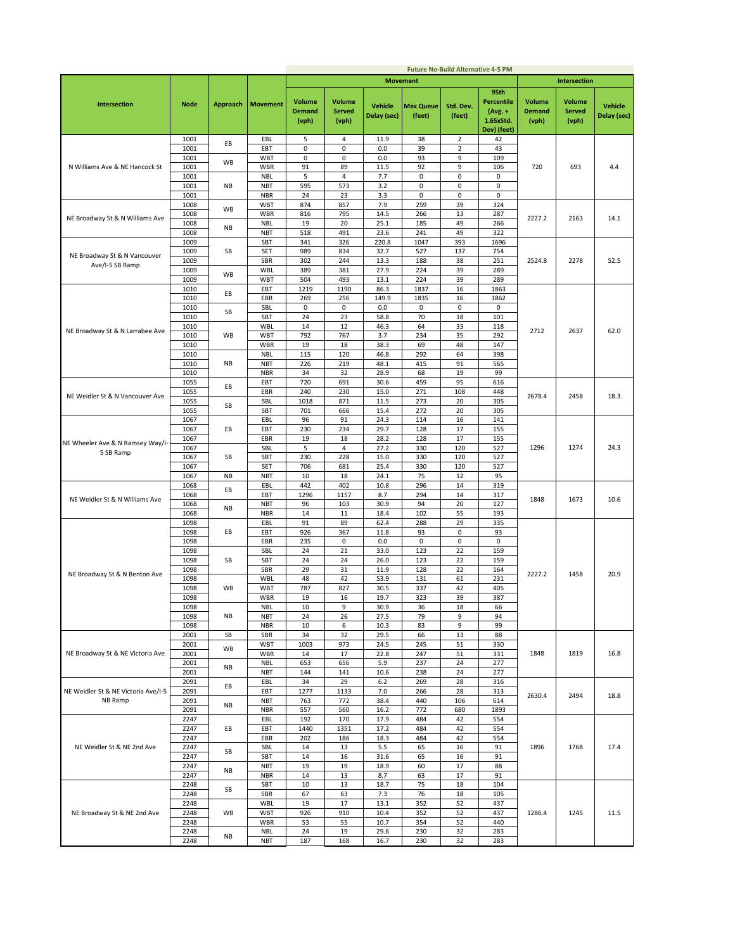|                                                 |              |                 |                          |                                         |                                         |                               |                            | <b>Future No-Build Alternative 4-5 PM</b> |                                                                    |                                         |                                         |                               |
|-------------------------------------------------|--------------|-----------------|--------------------------|-----------------------------------------|-----------------------------------------|-------------------------------|----------------------------|-------------------------------------------|--------------------------------------------------------------------|-----------------------------------------|-----------------------------------------|-------------------------------|
|                                                 |              |                 |                          |                                         |                                         |                               | <b>Movement</b>            |                                           |                                                                    |                                         | <b>Intersection</b>                     |                               |
| Intersection                                    | <b>Node</b>  | <b>Approach</b> | <b>Movement</b>          | <b>Volume</b><br><b>Demand</b><br>(vph) | <b>Volume</b><br><b>Served</b><br>(vph) | <b>Vehicle</b><br>Delay (sec) | <b>Max Queue</b><br>(feet) | Std. Dev.<br>(feet)                       | 95th<br><b>Percentile</b><br>$(Avg. +$<br>1.65xStd.<br>Dev) (feet) | <b>Volume</b><br><b>Demand</b><br>(vph) | <b>Volume</b><br><b>Served</b><br>(vph) | <b>Vehicle</b><br>Delay (sec) |
|                                                 | 1001         | EВ              | EBL                      | 5                                       | 4                                       | 11.9                          | 38                         | 2                                         | 42                                                                 |                                         |                                         |                               |
|                                                 | 1001         |                 | EBT                      | 0                                       | 0                                       | 0.0                           | 39                         | $\mathbf 2$                               | 43                                                                 |                                         |                                         |                               |
| N Williams Ave & NE Hancock St                  | 1001<br>1001 | WB              | <b>WBT</b><br>WBR        | 0<br>91                                 | 0<br>89                                 | 0.0<br>11.5                   | 93<br>92                   | 9<br>9                                    | 109<br>106                                                         | 720                                     | 693                                     |                               |
|                                                 | 1001         |                 | <b>NBL</b>               | 5                                       | 4                                       | 7.7                           | 0                          | $\pmb{0}$                                 | 0                                                                  |                                         |                                         | 4.4                           |
|                                                 | 1001         | NB              | <b>NBT</b>               | 595                                     | 573                                     | 3.2                           | 0                          | 0                                         | 0                                                                  |                                         |                                         |                               |
|                                                 | 1001         |                 | <b>NBR</b>               | 24                                      | 23                                      | 3.3                           | 0                          | 0                                         | $\pmb{0}$                                                          |                                         |                                         |                               |
|                                                 | 1008         | WB              | <b>WBT</b>               | 874                                     | 857                                     | 7.9                           | 259                        | 39                                        | 324                                                                |                                         |                                         |                               |
| NE Broadway St & N Williams Ave                 | 1008         |                 | <b>WBR</b>               | 816                                     | 795                                     | 14.5                          | 266                        | 13                                        | 287                                                                | 2227.2                                  | 2163                                    | 14.1                          |
|                                                 | 1008<br>1008 | NB              | <b>NBL</b><br><b>NBT</b> | 19<br>518                               | 20<br>491                               | 25.1<br>23.6                  | 185<br>241                 | 49<br>49                                  | 266<br>322                                                         |                                         |                                         |                               |
|                                                 | 1009         |                 | SBT                      | 341                                     | 326                                     | 220.8                         | 1047                       | 393                                       | 1696                                                               |                                         |                                         |                               |
|                                                 | 1009         | SB              | <b>SET</b>               | 989                                     | 834                                     | 32.7                          | 527                        | 137                                       | 754                                                                |                                         |                                         |                               |
| NE Broadway St & N Vancouver<br>Ave/I-5 SB Ramp | 1009         |                 | SBR                      | 302                                     | 244                                     | 13.3                          | 188                        | 38                                        | 251                                                                | 2524.8                                  | 2278                                    | 52.5                          |
|                                                 | 1009         | WB              | WBL                      | 389                                     | 381                                     | 27.9                          | 224                        | 39                                        | 289                                                                |                                         |                                         |                               |
|                                                 | 1009<br>1010 |                 | <b>WBT</b><br>EBT        | 504<br>1219                             | 493<br>1190                             | 13.1<br>86.3                  | 224<br>1837                | 39<br>16                                  | 289<br>1863                                                        |                                         |                                         |                               |
|                                                 | 1010         | ΕB              | EBR                      | 269                                     | 256                                     | 149.9                         | 1835                       | 16                                        | 1862                                                               |                                         |                                         |                               |
|                                                 | 1010         |                 | SBL                      | 0                                       | 0                                       | 0.0                           | 0                          | $\mathbf 0$                               | $\mathbf 0$                                                        |                                         |                                         |                               |
|                                                 | 1010         | SB              | SBT                      | 24                                      | 23                                      | 58.8                          | 70                         | 18                                        | 101                                                                |                                         |                                         |                               |
| NE Broadway St & N Larrabee Ave                 | 1010         |                 | WBL                      | 14                                      | 12                                      | 46.3                          | 64                         | 33                                        | 118                                                                | 2712                                    | 2637                                    | 62.0                          |
|                                                 | 1010<br>1010 | WB              | <b>WBT</b><br><b>WBR</b> | 792<br>19                               | 767<br>18                               | 3.7<br>38.3                   | 234<br>69                  | 35<br>48                                  | 292<br>147                                                         |                                         |                                         |                               |
|                                                 | 1010         |                 | <b>NBL</b>               | 115                                     | 120                                     | 46.8                          | 292                        | 64                                        | 398                                                                |                                         |                                         |                               |
|                                                 | 1010         | NB              | <b>NBT</b>               | 226                                     | 219                                     | 48.1                          | 415                        | 91                                        | 565                                                                |                                         |                                         |                               |
|                                                 | 1010         |                 | <b>NBR</b>               | 34                                      | 32                                      | 28.9                          | 68                         | 19                                        | 99                                                                 |                                         |                                         |                               |
|                                                 | 1055         | ΕB              | EBT                      | 720                                     | 691                                     | 30.6                          | 459                        | 95                                        | 616                                                                |                                         |                                         |                               |
| NE Weidler St & N Vancouver Ave                 | 1055         |                 | EBR                      | 240                                     | 230                                     | 15.0                          | 271                        | 108                                       | 448                                                                | 2678.4                                  | 2458                                    | 18.3                          |
|                                                 | 1055<br>1055 | SB              | SBL<br>SBT               | 1018<br>701                             | 871<br>666                              | 11.5<br>15.4                  | 273<br>272                 | 20<br>20                                  | 305<br>305                                                         |                                         |                                         |                               |
|                                                 | 1067         |                 | EBL                      | 96                                      | 91                                      | 24.3                          | 114                        | 16                                        | 141                                                                |                                         |                                         |                               |
| NE Wheeler Ave & N Ramsey Way/I-                | 1067         | EВ              | EBT                      | 230                                     | 234                                     | 29.7                          | 128                        | 17                                        | 155                                                                |                                         |                                         |                               |
|                                                 | 1067         |                 | EBR                      | 19                                      | 18                                      | 28.2                          | 128                        | 17                                        | 155                                                                |                                         |                                         |                               |
| 5 SB Ramp                                       | 1067         |                 | SBL                      | 5                                       | 4                                       | 27.2                          | 330                        | 120                                       | 527                                                                | 1296                                    | 1274                                    | 24.3                          |
|                                                 | 1067         | SB              | SBT<br><b>SET</b>        | 230<br>706                              | 228<br>681                              | 15.0<br>25.4                  | 330<br>330                 | 120<br>120                                | 527                                                                |                                         |                                         |                               |
|                                                 | 1067<br>1067 | <b>NB</b>       | <b>NBT</b>               | 10                                      | 18                                      | 24.1                          | 75                         | 12                                        | 527<br>95                                                          |                                         |                                         |                               |
|                                                 | 1068         |                 | EBL                      | 442                                     | 402                                     | 10.8                          | 296                        | 14                                        | 319                                                                |                                         |                                         |                               |
| NE Weidler St & N Williams Ave                  | 1068         | EВ              | EBT                      | 1296                                    | 1157                                    | 8.7                           | 294                        | 14                                        | 317                                                                | 1848                                    | 1673                                    | 10.6                          |
|                                                 | 1068         | NB              | <b>NBT</b>               | 96                                      | 103                                     | 30.9                          | 94                         | 20                                        | 127                                                                |                                         |                                         |                               |
|                                                 | 1068<br>1098 |                 | <b>NBR</b><br>EBL        | 14<br>91                                | 11<br>89                                | 18.4<br>62.4                  | 102<br>288                 | 55<br>29                                  | 193<br>335                                                         |                                         |                                         |                               |
|                                                 | 1098         | EВ              | EBT                      | 926                                     | 367                                     | 11.8                          | 93                         | 0                                         | 93                                                                 |                                         |                                         |                               |
|                                                 | 1098         |                 | EBR                      | 235                                     | 0                                       | 0.0                           | 0                          | 0                                         | $\mathbf 0$                                                        |                                         |                                         |                               |
|                                                 | 1098         |                 | SBL                      | 24                                      | 21                                      | 33.0                          | 123                        | 22                                        | 159                                                                |                                         |                                         |                               |
|                                                 | 1098         | SB              | SBT                      | 24                                      | 24                                      | 26.0                          | 123                        | 22                                        | 159                                                                |                                         |                                         |                               |
| NE Broadway St & N Benton Ave                   | 1098<br>1098 |                 | SBR<br>WBL               | 29<br>48                                | 31<br>42                                | 11.9<br>53.9                  | 128<br>131                 | 22<br>61                                  | 164<br>231                                                         | 2227.2                                  | 1458                                    | 20.9                          |
|                                                 | 1098         | <b>WB</b>       | WBT                      | 787                                     | 827                                     | 30.5                          | 337                        | 42                                        | 405                                                                |                                         |                                         |                               |
|                                                 | 1098         |                 | WBR                      | 19                                      | 16                                      | 19.7                          | 323                        | 39                                        | 387                                                                |                                         |                                         |                               |
|                                                 | 1098         |                 | NBL                      | 10                                      | 9                                       | 30.9                          | 36                         | 18                                        | 66                                                                 |                                         |                                         |                               |
|                                                 | 1098         | ΝB              | <b>NBT</b>               | 24<br>10                                | 26<br>6                                 | 27.5                          | 79<br>83                   | 9<br>9                                    | 94<br>99                                                           |                                         |                                         |                               |
|                                                 | 1098<br>2001 | SB              | <b>NBR</b><br>SBR        | 34                                      | 32                                      | 10.3<br>29.5                  | 66                         | 13                                        | 88                                                                 |                                         |                                         |                               |
|                                                 | 2001         |                 | <b>WBT</b>               | 1003                                    | 973                                     | 24.5                          | 245                        | 51                                        | 330                                                                |                                         |                                         |                               |
| NE Broadway St & NE Victoria Ave                | 2001         | WB              | <b>WBR</b>               | 14                                      | 17                                      | 22.8                          | 247                        | 51                                        | 331                                                                | 1848                                    | 1819                                    | 16.8                          |
|                                                 | 2001         | NB              | <b>NBL</b>               | 653                                     | 656                                     | 5.9                           | 237                        | 24                                        | 277                                                                |                                         |                                         |                               |
|                                                 | 2001<br>2091 |                 | <b>NBT</b><br>EBL        | 144<br>34                               | 141<br>29                               | 10.6<br>6.2                   | 238<br>269                 | 24<br>28                                  | 277<br>316                                                         |                                         |                                         |                               |
| NE Weidler St & NE Victoria Ave/I-5             | 2091         | EВ              | EBT                      | 1277                                    | 1133                                    | 7.0                           | 266                        | 28                                        | 313                                                                |                                         |                                         |                               |
| NB Ramp                                         | 2091         |                 | <b>NBT</b>               | 763                                     | 772                                     | 38.4                          | 440                        | 106                                       | 614                                                                | 2630.4                                  | 2494                                    | 18.8                          |
|                                                 | 2091         | ΝB              | <b>NBR</b>               | 557                                     | 560                                     | 16.2                          | 772                        | 680                                       | 1893                                                               |                                         |                                         |                               |
|                                                 | 2247         |                 | EBL                      | 192                                     | 170                                     | 17.9                          | 484                        | 42                                        | 554                                                                |                                         |                                         |                               |
|                                                 | 2247<br>2247 | EВ              | EBT<br>EBR               | 1440<br>202                             | 1351<br>186                             | 17.2<br>18.3                  | 484<br>484                 | 42<br>42                                  | 554<br>554                                                         |                                         |                                         |                               |
| NE Weidler St & NE 2nd Ave                      | 2247         |                 | SBL                      | 14                                      | 13                                      | 5.5                           | 65                         | 16                                        | 91                                                                 | 1896                                    | 1768                                    | 17.4                          |
|                                                 | 2247         | SB              | SBT                      | 14                                      | 16                                      | 31.6                          | 65                         | 16                                        | 91                                                                 |                                         |                                         |                               |
|                                                 | 2247         | <b>NB</b>       | <b>NBT</b>               | 19                                      | 19                                      | 18.9                          | 60                         | 17                                        | 88                                                                 |                                         |                                         |                               |
|                                                 | 2247         |                 | <b>NBR</b>               | 14                                      | 13                                      | 8.7                           | 63                         | 17                                        | 91                                                                 |                                         |                                         |                               |
|                                                 | 2248<br>2248 | SB              | SBT<br>SBR               | 10<br>67                                | 13<br>63                                | 18.7<br>7.3                   | 75<br>76                   | 18<br>18                                  | 104<br>105                                                         |                                         |                                         |                               |
|                                                 | 2248         |                 | <b>WBL</b>               | 19                                      | 17                                      | 13.1                          | 352                        | 52                                        | 437                                                                |                                         |                                         |                               |
| NE Broadway St & NE 2nd Ave                     | 2248         | WB              | <b>WBT</b>               | 926                                     | 910                                     | 10.4                          | 352                        | 52                                        | 437                                                                | 1286.4                                  | 1245                                    | 11.5                          |
|                                                 | 2248         |                 | WBR                      | 53                                      | 55                                      | 10.7                          | 354                        | 52                                        | 440                                                                |                                         |                                         |                               |
|                                                 | 2248         | <b>NB</b>       | <b>NBL</b>               | 24                                      | 19                                      | 29.6                          | 230                        | 32                                        | 283                                                                |                                         |                                         |                               |
|                                                 | 2248         |                 | <b>NBT</b>               | 187                                     | 168                                     | 16.7                          | 230                        | 32                                        | 283                                                                |                                         |                                         |                               |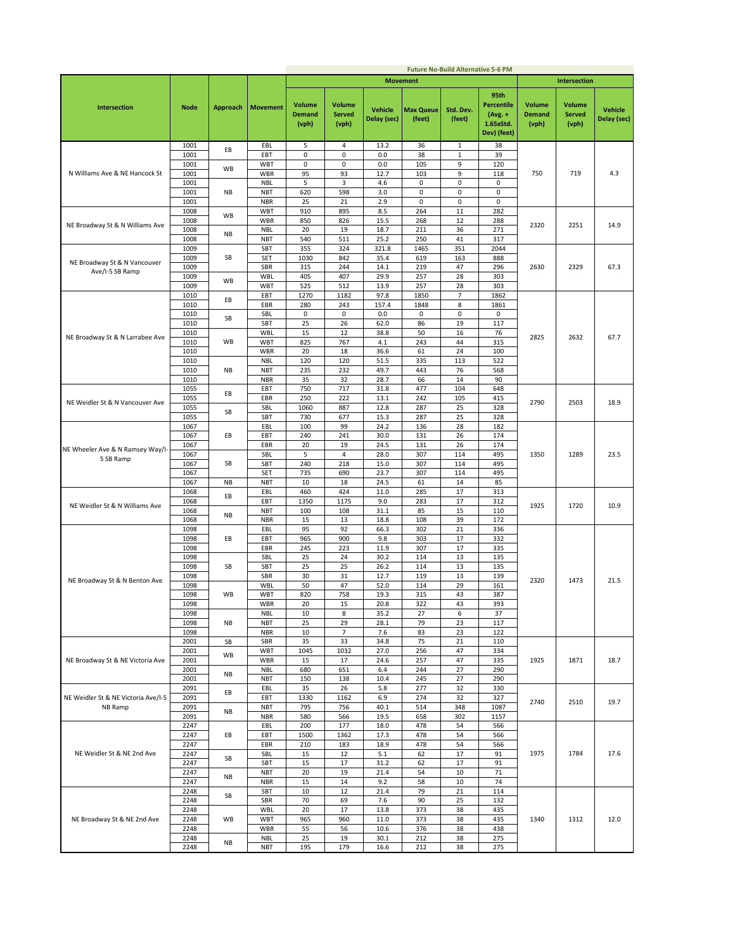|                                     |             |           |                 |                                         |                                         |                               |                            | <b>Future No-Build Alternative 5-6 PM</b> |                                                                    |                                         |                                         |                               |
|-------------------------------------|-------------|-----------|-----------------|-----------------------------------------|-----------------------------------------|-------------------------------|----------------------------|-------------------------------------------|--------------------------------------------------------------------|-----------------------------------------|-----------------------------------------|-------------------------------|
|                                     |             |           |                 |                                         |                                         |                               | <b>Movement</b>            |                                           |                                                                    |                                         | Intersection                            |                               |
| Intersection                        | <b>Node</b> | Approach  | <b>Movement</b> | <b>Volume</b><br><b>Demand</b><br>(vph) | <b>Volume</b><br><b>Served</b><br>(vph) | <b>Vehicle</b><br>Delay (sec) | <b>Max Queue</b><br>(feet) | Std. Dev.<br>(feet)                       | 95th<br><b>Percentile</b><br>$(Avg. +$<br>1.65xStd.<br>Dev) (feet) | <b>Volume</b><br><b>Demand</b><br>(vph) | <b>Volume</b><br><b>Served</b><br>(vph) | <b>Vehicle</b><br>Delay (sec) |
|                                     | 1001        | EВ        | EBL             | 5                                       | 4                                       | 13.2                          | 36                         | $\mathbf{1}$                              | 38                                                                 |                                         |                                         |                               |
|                                     | 1001        |           | EBT             | $\mathbf 0$                             | $\pmb{0}$                               | 0.0                           | 38                         | $\,1\,$                                   | 39                                                                 |                                         |                                         |                               |
|                                     | 1001        |           | WBT             | 0                                       | $\mathsf 0$                             | 0.0                           | 105                        | 9                                         | 120                                                                |                                         |                                         |                               |
| N Williams Ave & NE Hancock St      | 1001        | WB        | WBR             | 95                                      | 93                                      | 12.7                          | 103                        | 9                                         | 118                                                                | 750                                     | 719                                     | 4.3                           |
|                                     | 1001        |           | <b>NBL</b>      | 5                                       | 3                                       | 4.6                           | 0                          | 0                                         | 0                                                                  |                                         |                                         |                               |
|                                     | 1001        | NB        | <b>NBT</b>      | 620                                     | 598                                     | 3.0                           | 0                          | 0                                         | 0                                                                  |                                         |                                         |                               |
|                                     | 1001        |           | <b>NBR</b>      | 25                                      | 21                                      | 2.9                           | $\pmb{0}$                  | $\mathsf 0$                               | 0                                                                  |                                         |                                         |                               |
|                                     | 1008        |           | <b>WBT</b>      | 910                                     | 895                                     | 8.5                           | 264                        | 11                                        | 282                                                                |                                         |                                         |                               |
|                                     | 1008        | WB        | <b>WBR</b>      | 850                                     | 826                                     | 15.5                          | 268                        | 12                                        | 288                                                                |                                         |                                         |                               |
| NE Broadway St & N Williams Ave     | 1008        |           | <b>NBL</b>      | 20                                      | 19                                      | 18.7                          | 211                        | 36                                        | 271                                                                | 2320                                    | 2251                                    | 14.9                          |
|                                     | 1008        | <b>NB</b> | <b>NBT</b>      | 540                                     | 511                                     | 25.2                          | 250                        | 41                                        | 317                                                                |                                         |                                         |                               |
|                                     | 1009        |           | SBT             | 355                                     | 324                                     | 321.8                         | 1465                       | 351                                       | 2044                                                               |                                         |                                         |                               |
|                                     | 1009        | SВ        | <b>SET</b>      | 1030                                    | 842                                     | 35.4                          | 619                        | 163                                       | 888                                                                |                                         |                                         |                               |
| NE Broadway St & N Vancouver        | 1009        |           | SBR             | 315                                     | 244                                     | 14.1                          | 219                        | 47                                        | 296                                                                | 2630                                    | 2329                                    | 67.3                          |
| Ave/I-5 SB Ramp                     | 1009        |           | <b>WBL</b>      | 405                                     | 407                                     | 29.9                          | 257                        | 28                                        | 303                                                                |                                         |                                         |                               |
|                                     | 1009        | WB        | <b>WBT</b>      | 525                                     | 512                                     | 13.9                          | 257                        | 28                                        | 303                                                                |                                         |                                         |                               |
|                                     | 1010        |           | EBT             | 1270                                    | 1182                                    | 97.8                          | 1850                       | $\overline{7}$                            | 1862                                                               |                                         |                                         |                               |
|                                     | 1010        | EВ        | EBR             | 280                                     | 243                                     | 157.4                         | 1848                       | 8                                         | 1861                                                               |                                         |                                         |                               |
|                                     | 1010        |           | SBL             | 0                                       | $\pmb{0}$                               | 0.0                           | 0                          | 0                                         | 0                                                                  |                                         |                                         |                               |
|                                     | 1010        | SB        | SBT             | 25                                      | 26                                      | 62.0                          | 86                         | 19                                        | 117                                                                |                                         |                                         |                               |
|                                     | 1010        |           | WBL             | 15                                      | 12                                      | 38.8                          | 50                         | 16                                        | 76                                                                 |                                         |                                         | 67.7                          |
| NE Broadway St & N Larrabee Ave     | 1010        | WB        | <b>WBT</b>      | 825                                     | 767                                     | 4.1                           | 243                        | 44                                        | 315                                                                | 2825                                    | 2632                                    |                               |
|                                     | 1010        |           | <b>WBR</b>      | 20                                      | 18                                      | 36.6                          | 61                         | 24                                        | 100                                                                |                                         |                                         |                               |
|                                     | 1010        |           | <b>NBL</b>      | 120                                     | 120                                     | 51.5                          | 335                        | 113                                       | 522                                                                |                                         |                                         |                               |
|                                     | 1010        | NB        | <b>NBT</b>      | 235                                     | 232                                     | 49.7                          | 443                        | 76                                        | 568                                                                |                                         |                                         |                               |
|                                     | 1010        |           | <b>NBR</b>      | 35                                      | 32                                      | 28.7                          | 66                         | 14                                        | 90                                                                 |                                         |                                         |                               |
|                                     | 1055        |           | EBT             | 750                                     | 717                                     | 31.8                          | 477                        | 104                                       | 648                                                                |                                         |                                         |                               |
|                                     | 1055        | EВ        | EBR             | 250                                     | 222                                     | 13.1                          | 242                        | 105                                       | 415                                                                |                                         |                                         |                               |
| NE Weidler St & N Vancouver Ave     | 1055        |           | SBL             | 1060                                    | 887                                     | 12.8                          | 287                        | 25                                        | 328                                                                | 2790                                    | 2503                                    | 18.9                          |
|                                     | 1055        | SB        | SBT             | 730                                     | 677                                     | 15.3                          | 287                        | 25                                        | 328                                                                |                                         |                                         |                               |
|                                     | 1067        |           | EBL             | 100                                     | 99                                      | 24.2                          | 136                        | 28                                        | 182                                                                |                                         |                                         |                               |
|                                     | 1067        | EВ        | EBT             | 240                                     | 241                                     | 30.0                          | 131                        | 26                                        | 174                                                                |                                         |                                         |                               |
|                                     | 1067        |           | EBR             | 20                                      | 19                                      | 24.5                          | 131                        | 26                                        | 174                                                                |                                         |                                         |                               |
| NE Wheeler Ave & N Ramsey Way/I-    | 1067        |           | SBL             | 5                                       | 4                                       | 28.0                          | 307                        | 114                                       | 495                                                                | 1350                                    | 1289                                    | 23.5                          |
| 5 SB Ramp                           | 1067        | SB        | SBT             | 240                                     | 218                                     | 15.0                          | 307                        | 114                                       | 495                                                                |                                         |                                         |                               |
|                                     | 1067        |           | SET             | 735                                     | 690                                     | 23.7                          | 307                        | 114                                       | 495                                                                |                                         |                                         |                               |
|                                     | 1067        | <b>NB</b> | <b>NBT</b>      | 10                                      | 18                                      | 24.5                          | 61                         | 14                                        | 85                                                                 |                                         |                                         |                               |
|                                     | 1068        |           | EBL             | 460                                     | 424                                     | 11.0                          | 285                        | 17                                        | 313                                                                |                                         |                                         |                               |
|                                     | 1068        | EВ        | EBT             | 1350                                    | 1175                                    | 9.0                           | 283                        | 17                                        | 312                                                                |                                         |                                         |                               |
| NE Weidler St & N Williams Ave      | 1068        |           | <b>NBT</b>      | 100                                     | 108                                     | 31.1                          | 85                         | 15                                        | 110                                                                | 1925                                    | 1720                                    | 10.9                          |
|                                     | 1068        | NB        | <b>NBR</b>      | 15                                      | 13                                      | 18.8                          | 108                        | 39                                        | 172                                                                |                                         |                                         |                               |
|                                     | 1098        |           | EBL             | 95                                      | 92                                      | 66.3                          | 302                        | 21                                        | 336                                                                |                                         |                                         |                               |
|                                     | 1098        | EВ        | EBT             | 965                                     | 900                                     | 9.8                           | 303                        | 17                                        | 332                                                                |                                         |                                         |                               |
|                                     | 1098        |           | EBR             | 245                                     | 223                                     | 11.9                          | 307                        | 17                                        | 335                                                                |                                         |                                         |                               |
|                                     | 1098        |           | SBL             | 25                                      | 24                                      | 30.2                          | 114                        | 13                                        | 135                                                                |                                         |                                         |                               |
|                                     | 1098        | SB        | SBT             | 25                                      | 25                                      | 26.2                          | 114                        | 13                                        | 135                                                                |                                         |                                         |                               |
|                                     | 1098        |           | SBR             | 30                                      | 31                                      | 12.7                          | 119                        | 13                                        | 139                                                                |                                         |                                         |                               |
| NE Broadway St & N Benton Ave       | 1098        |           | <b>WBL</b>      | 50                                      | 47                                      | 52.0                          | 114                        | 29                                        | 161                                                                | 2320                                    | 1473                                    | 21.5                          |
|                                     | 1098        | WB        | <b>WBT</b>      | 820                                     | 758                                     | 19.3                          | 315                        | 43                                        | 387                                                                |                                         |                                         |                               |
|                                     | 1098        |           | <b>WBR</b>      | 20                                      | 15                                      | 20.8                          | 322                        | 43                                        | 393                                                                |                                         |                                         |                               |
|                                     | 1098        |           | <b>NBL</b>      | 10                                      | 8                                       | 35.2                          | 27                         | 6                                         | 37                                                                 |                                         |                                         |                               |
|                                     | 1098        | NB        | <b>NBT</b>      | 25                                      | 29                                      | 28.1                          | 79                         | 23                                        | 117                                                                |                                         |                                         |                               |
|                                     | 1098        |           | <b>NBR</b>      | 10                                      | $\overline{7}$                          | 7.6                           | 83                         | 23                                        | 122                                                                |                                         |                                         |                               |
|                                     | 2001        | SB        | SBR             | 35                                      | 33                                      | 34.8                          | 75                         | 21                                        | 110                                                                |                                         |                                         |                               |
|                                     | 2001        | WB        | <b>WBT</b>      | 1045                                    | 1032                                    | 27.0                          | 256                        | 47                                        | 334                                                                |                                         |                                         |                               |
| NE Broadway St & NE Victoria Ave    | 2001        |           | <b>WBR</b>      | 15                                      | 17                                      | 24.6                          | 257                        | 47                                        | 335                                                                | 1925                                    | 1871                                    | 18.7                          |
|                                     | 2001        | ΝB        | <b>NBL</b>      | 680                                     | 651                                     | 6.4                           | 244                        | 27                                        | 290                                                                |                                         |                                         |                               |
|                                     | 2001        |           | <b>NBT</b>      | 150                                     | 138                                     | 10.4                          | 245                        | 27                                        | 290                                                                |                                         |                                         |                               |
|                                     | 2091        | EВ        | EBL             | 35                                      | 26                                      | 5.8                           | 277                        | 32                                        | 330                                                                |                                         |                                         |                               |
| NE Weidler St & NE Victoria Ave/I-5 | 2091        |           | EBT             | 1330                                    | 1162                                    | 6.9                           | 274                        | 32                                        | 327                                                                | 2740                                    | 2510                                    | 19.7                          |
| NB Ramp                             | 2091        | ΝB        | <b>NBT</b>      | 795                                     | 756                                     | 40.1                          | 514                        | 348                                       | 1087                                                               |                                         |                                         |                               |
|                                     | 2091        |           | <b>NBR</b>      | 580                                     | 566                                     | 19.5                          | 658                        | 302                                       | 1157                                                               |                                         |                                         |                               |
|                                     | 2247        |           | EBL             | 200                                     | 177                                     | 18.0                          | 478                        | 54                                        | 566                                                                |                                         |                                         |                               |
|                                     | 2247        | EB        | EBT             | 1500                                    | 1362                                    | 17.3                          | 478                        | 54                                        | 566                                                                |                                         |                                         |                               |
|                                     | 2247        |           | EBR             | 210                                     | 183                                     | 18.9                          | 478                        | 54                                        | 566                                                                |                                         |                                         |                               |
| NE Weidler St & NE 2nd Ave          | 2247        | SВ        | SBL             | 15                                      | 12                                      | 5.1                           | 62                         | 17                                        | 91                                                                 | 1975                                    | 1784                                    | 17.6                          |
|                                     | 2247        |           | SBT             | 15                                      | 17                                      | 31.2                          | 62                         | 17                                        | 91                                                                 |                                         |                                         |                               |
|                                     | 2247        | NB        | <b>NBT</b>      | 20                                      | 19                                      | 21.4                          | 54                         | 10                                        | 71                                                                 |                                         |                                         |                               |
|                                     | 2247        |           | <b>NBR</b>      | 15                                      | 14                                      | 9.2                           | 58                         | 10                                        | 74                                                                 |                                         |                                         |                               |
|                                     | 2248        | SB        | SBT             | 10                                      | 12                                      | 21.4                          | 79                         | 21                                        | 114                                                                |                                         |                                         |                               |
|                                     | 2248        |           | SBR             | 70                                      | 69                                      | 7.6                           | 90                         | 25                                        | 132                                                                |                                         |                                         |                               |
|                                     | 2248        |           | WBL             | 20                                      | 17                                      | 13.8                          | 373                        | 38                                        | 435                                                                |                                         |                                         |                               |
| NE Broadway St & NE 2nd Ave         | 2248        | WB        | <b>WBT</b>      | 965                                     | 960                                     | 11.0                          | 373                        | 38                                        | 435                                                                | 1340                                    | 1312                                    | 12.0                          |
|                                     | 2248        |           | <b>WBR</b>      | 55                                      | 56                                      | 10.6                          | 376                        | 38                                        | 438                                                                |                                         |                                         |                               |
|                                     | 2248        |           | <b>NBL</b>      | 25                                      | 19                                      | 30.1                          | 212                        | 38                                        | 275                                                                |                                         |                                         |                               |
|                                     | 2248        | ΝB        | <b>NBT</b>      | 195                                     | 179                                     | 16.6                          | 212                        | 38                                        | 275                                                                |                                         |                                         |                               |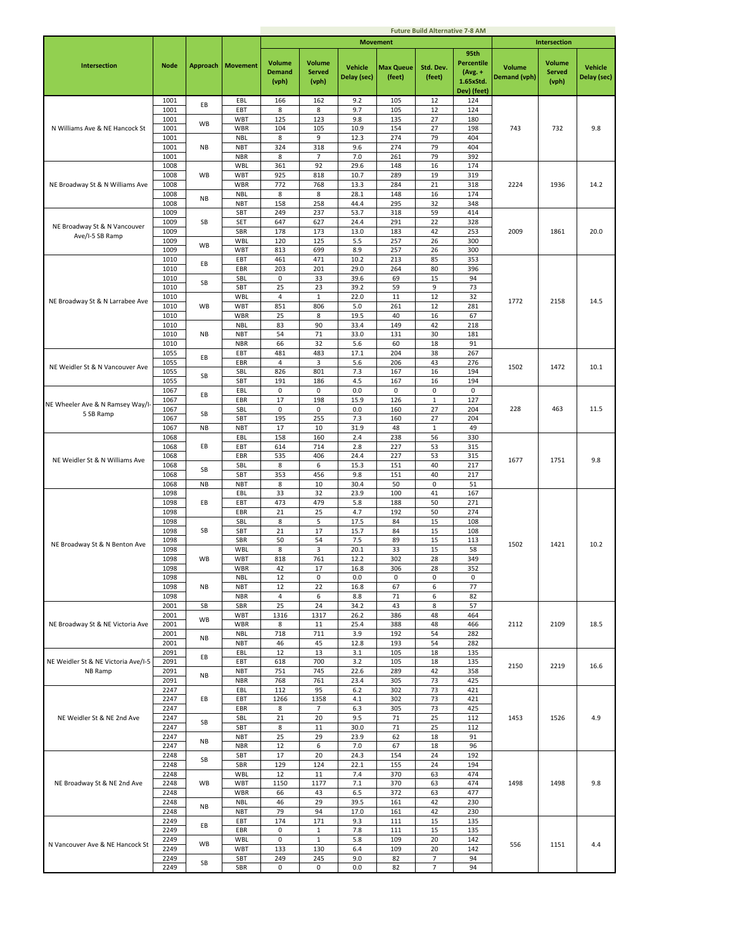|                                     |              |           |                          |                                         |                                         |                               |                            | <b>Future Build Alternative 7-8 AM</b> |                                                             |                               |                                         |                               |
|-------------------------------------|--------------|-----------|--------------------------|-----------------------------------------|-----------------------------------------|-------------------------------|----------------------------|----------------------------------------|-------------------------------------------------------------|-------------------------------|-----------------------------------------|-------------------------------|
|                                     |              |           |                          |                                         |                                         |                               | <b>Movement</b>            |                                        |                                                             |                               | Intersection                            |                               |
| <b>Intersection</b>                 | <b>Node</b>  | Approach  | <b>Movement</b>          | <b>Volume</b><br><b>Demand</b><br>(vph) | <b>Volume</b><br><b>Served</b><br>(vph) | <b>Vehicle</b><br>Delay (sec) | <b>Max Queue</b><br>(feet) | Std. Dev.<br>(feet)                    | 95th<br>Percentile<br>$(Avg. +$<br>1.65xStd.<br>Dev) (feet) | <b>Volume</b><br>Demand (vph) | <b>Volume</b><br><b>Served</b><br>(vph) | <b>Vehicle</b><br>Delay (sec) |
|                                     | 1001         | EВ        | EBL                      | 166                                     | 162                                     | 9.2                           | 105                        | 12                                     | 124                                                         |                               |                                         |                               |
|                                     | 1001         |           | EBT                      | 8<br>125                                | 8                                       | 9.7                           | 105                        | 12                                     | 124                                                         |                               |                                         |                               |
| N Williams Ave & NE Hancock St      | 1001<br>1001 | <b>WB</b> | WBT<br>WBR               | 104                                     | 123<br>105                              | 9.8<br>10.9                   | 135<br>154                 | 27<br>27                               | 180<br>198                                                  | 743                           | 732                                     | 9.8                           |
|                                     | 1001         |           | <b>NBL</b>               | 8                                       | 9                                       | 12.3                          | 274                        | 79                                     | 404                                                         |                               |                                         |                               |
|                                     | 1001         | NB        | <b>NBT</b>               | 324                                     | 318                                     | 9.6                           | 274                        | 79                                     | 404                                                         |                               |                                         |                               |
|                                     | 1001<br>1008 |           | <b>NBR</b><br><b>WBL</b> | 8<br>361                                | $\overline{7}$<br>92                    | 7.0<br>29.6                   | 261<br>148                 | 79<br>16                               | 392<br>174                                                  |                               |                                         |                               |
|                                     | 1008         | <b>WB</b> | <b>WBT</b>               | 925                                     | 818                                     | 10.7                          | 289                        | 19                                     | 319                                                         |                               |                                         |                               |
| NE Broadway St & N Williams Ave     | 1008         |           | WBR                      | 772                                     | 768                                     | 13.3                          | 284                        | 21                                     | 318                                                         | 2224                          | 1936                                    | 14.2                          |
|                                     | 1008         | <b>NB</b> | <b>NBL</b>               | 8                                       | 8                                       | 28.1                          | 148                        | 16                                     | 174                                                         |                               |                                         |                               |
|                                     | 1008<br>1009 |           | <b>NBT</b><br>SBT        | 158<br>249                              | 258<br>237                              | 44.4<br>53.7                  | 295<br>318                 | 32<br>59                               | 348<br>414                                                  |                               |                                         |                               |
| NE Broadway St & N Vancouver        | 1009         | SB        | SET                      | 647                                     | 627                                     | 24.4                          | 291                        | 22                                     | 328                                                         |                               |                                         |                               |
| Ave/I-5 SB Ramp                     | 1009         |           | SBR                      | 178                                     | 173                                     | 13.0                          | 183                        | 42                                     | 253                                                         | 2009                          | 1861                                    | 20.0                          |
|                                     | 1009<br>1009 | <b>WB</b> | <b>WBL</b><br><b>WBT</b> | 120<br>813                              | 125<br>699                              | 5.5<br>8.9                    | 257<br>257                 | 26<br>26                               | 300<br>300                                                  |                               |                                         |                               |
|                                     | 1010         |           | EBT                      | 461                                     | 471                                     | 10.2                          | 213                        | 85                                     | 353                                                         |                               |                                         |                               |
|                                     | 1010         | EВ        | EBR                      | 203                                     | 201                                     | 29.0                          | 264                        | 80                                     | 396                                                         |                               |                                         |                               |
|                                     | 1010<br>1010 | SB        | SBL<br>SBT               | 0<br>25                                 | 33<br>23                                | 39.6<br>39.2                  | 69<br>59                   | 15<br>9                                | 94<br>73                                                    |                               |                                         |                               |
|                                     | 1010         |           | <b>WBL</b>               | $\overline{4}$                          | $\mathbf{1}$                            | 22.0                          | 11                         | 12                                     | 32                                                          |                               |                                         |                               |
| NE Broadway St & N Larrabee Ave     | 1010         | <b>WB</b> | <b>WBT</b>               | 851                                     | 806                                     | 5.0                           | 261                        | 12                                     | 281                                                         | 1772                          | 2158                                    | 14.5                          |
|                                     | 1010         |           | WBR                      | 25                                      | 8                                       | 19.5                          | 40                         | 16                                     | 67                                                          |                               |                                         |                               |
|                                     | 1010<br>1010 | NB        | <b>NBL</b><br><b>NBT</b> | 83<br>54                                | 90<br>71                                | 33.4<br>33.0                  | 149<br>131                 | 42<br>30                               | 218<br>181                                                  |                               |                                         |                               |
|                                     | 1010         |           | <b>NBR</b>               | 66                                      | 32                                      | 5.6                           | 60                         | 18                                     | 91                                                          |                               |                                         |                               |
|                                     | 1055         | EВ        | EBT                      | 481                                     | 483                                     | 17.1                          | 204                        | 38                                     | 267                                                         |                               |                                         |                               |
| NE Weidler St & N Vancouver Ave     | 1055<br>1055 |           | EBR<br>SBL               | 4<br>826                                | 3<br>801                                | 5.6<br>7.3                    | 206<br>167                 | 43<br>16                               | 276<br>194                                                  | 1502                          | 1472                                    | 10.1                          |
|                                     | 1055         | SB        | SBT                      | 191                                     | 186                                     | 4.5                           | 167                        | 16                                     | 194                                                         |                               |                                         |                               |
|                                     | 1067         | EВ        | EBL                      | $\mathsf 0$                             | $\mathsf 0$                             | 0.0                           | $\mathbf 0$                | 0                                      | $\mathsf 0$                                                 |                               |                                         |                               |
| NE Wheeler Ave & N Ramsey Way/I-    | 1067         |           | EBR                      | 17                                      | 198                                     | 15.9                          | 126                        | $\mathbf 1$                            | 127                                                         |                               |                                         |                               |
| 5 SB Ramp                           | 1067<br>1067 | SB        | SBL<br>SBT               | 0<br>195                                | 0<br>255                                | 0.0<br>7.3                    | 160<br>160                 | 27<br>27                               | 204<br>204                                                  | 228                           | 463                                     | 11.5                          |
|                                     | 1067         | <b>NB</b> | <b>NBT</b>               | 17                                      | 10                                      | 31.9                          | 48                         | $\,1\,$                                | 49                                                          |                               |                                         |                               |
|                                     | 1068         |           | EBL                      | 158                                     | 160                                     | 2.4                           | 238                        | 56                                     | 330                                                         |                               |                                         |                               |
|                                     | 1068<br>1068 | EB        | EBT<br>EBR               | 614<br>535                              | 714<br>406                              | 2.8<br>24.4                   | 227<br>227                 | 53<br>53                               | 315<br>315                                                  |                               |                                         |                               |
| NE Weidler St & N Williams Ave      | 1068         |           | SBL                      | 8                                       | 6                                       | 15.3                          | 151                        | 40                                     | 217                                                         | 1677                          | 1751                                    | 9.8                           |
|                                     | 1068         | SB        | SBT                      | 353                                     | 456                                     | 9.8                           | 151                        | 40                                     | 217                                                         |                               |                                         |                               |
|                                     | 1068<br>1098 | <b>NB</b> | <b>NBT</b><br>EBL        | 8<br>33                                 | 10<br>32                                | 30.4<br>23.9                  | 50<br>100                  | $\mathbf 0$<br>41                      | 51<br>167                                                   |                               |                                         |                               |
|                                     | 1098         | EB        | EBT                      | 473                                     | 479                                     | 5.8                           | 188                        | 50                                     | 271                                                         |                               |                                         |                               |
|                                     | 1098         |           | EBR                      | 21                                      | 25                                      | 4.7                           | 192                        | 50                                     | 274                                                         |                               |                                         |                               |
|                                     | 1098<br>1098 | SB        | SBL<br>SBT               | 8<br>21                                 | 5<br>17                                 | 17.5<br>15.7                  | 84<br>84                   | 15<br>15                               | 108<br>108                                                  |                               |                                         |                               |
|                                     | 1098         |           | SBR                      | 50                                      | 54                                      | 7.5                           | 89                         | 15                                     | 113                                                         |                               |                                         |                               |
| NE Broadway St & N Benton Ave       | 1098         |           | WBL                      | 8                                       | 3                                       | 20.1                          | 33                         | 15                                     | 58                                                          | 1502                          | 1421                                    | 10.2                          |
|                                     | 1098         | WB        | <b>WBT</b><br><b>WBR</b> | 818                                     | 761                                     | 12.2                          | 302                        | 28                                     | 349                                                         |                               |                                         |                               |
|                                     | 1098<br>1098 |           | <b>NBL</b>               | 42<br>12                                | 17<br>$\mathsf 0$                       | 16.8<br>0.0                   | 306<br>$\mathsf 0$         | 28<br>0                                | 352<br>$\mathsf 0$                                          |                               |                                         |                               |
|                                     | 1098         | <b>NB</b> | <b>NBT</b>               | 12                                      | 22                                      | 16.8                          | 67                         | 6                                      | 77                                                          |                               |                                         |                               |
|                                     | 1098         |           | <b>NBR</b>               | 4                                       | 6                                       | 8.8                           | 71                         | 6                                      | 82                                                          |                               |                                         |                               |
|                                     | 2001<br>2001 | SB        | SBR<br><b>WBT</b>        | 25<br>1316                              | 24<br>1317                              | 34.2<br>26.2                  | 43<br>386                  | 8<br>48                                | 57<br>464                                                   |                               |                                         |                               |
| NE Broadway St & NE Victoria Ave    | 2001         | <b>WB</b> | WBR                      | 8                                       | 11                                      | 25.4                          | 388                        | 48                                     | 466                                                         | 2112                          | 2109                                    | 18.5                          |
|                                     | 2001         | NB        | <b>NBL</b>               | 718                                     | 711                                     | 3.9                           | 192                        | 54                                     | 282                                                         |                               |                                         |                               |
|                                     | 2001<br>2091 |           | <b>NBT</b><br>EBL        | 46<br>12                                | 45<br>13                                | 12.8<br>3.1                   | 193<br>105                 | 54<br>18                               | 282<br>135                                                  |                               |                                         |                               |
| NE Weidler St & NE Victoria Ave/I-5 | 2091         | EВ        | EBT                      | 618                                     | 700                                     | 3.2                           | 105                        | 18                                     | 135                                                         | 2150                          | 2219                                    | 16.6                          |
| NB Ramp                             | 2091         | NB        | <b>NBT</b>               | 751                                     | 745                                     | 22.6                          | 289                        | 42                                     | 358                                                         |                               |                                         |                               |
|                                     | 2091<br>2247 |           | <b>NBR</b><br>EBL        | 768<br>112                              | 761<br>95                               | 23.4<br>$6.2$                 | 305<br>302                 | 73<br>73                               | 425<br>421                                                  |                               |                                         |                               |
|                                     | 2247         | EВ        | EBT                      | 1266                                    | 1358                                    | 4.1                           | 302                        | 73                                     | 421                                                         |                               |                                         |                               |
|                                     | 2247         |           | EBR                      | 8                                       | $\overline{7}$                          | 6.3                           | 305                        | 73                                     | 425                                                         |                               |                                         |                               |
| NE Weidler St & NE 2nd Ave          | 2247<br>2247 | SB        | SBL<br>SBT               | 21<br>8                                 | 20<br>11                                | 9.5<br>30.0                   | 71<br>71                   | 25<br>25                               | 112<br>112                                                  | 1453                          | 1526                                    | 4.9                           |
|                                     | 2247         |           | <b>NBT</b>               | 25                                      | 29                                      | 23.9                          | 62                         | 18                                     | 91                                                          |                               |                                         |                               |
|                                     | 2247         | NB        | <b>NBR</b>               | 12                                      | 6                                       | 7.0                           | 67                         | 18                                     | 96                                                          |                               |                                         |                               |
|                                     | 2248         | SB        | SBT                      | 17                                      | 20                                      | 24.3                          | 154                        | 24                                     | 192                                                         |                               |                                         |                               |
|                                     | 2248<br>2248 |           | SBR<br><b>WBL</b>        | 129<br>12                               | 124<br>11                               | 22.1<br>7.4                   | 155<br>370                 | 24<br>63                               | 194<br>474                                                  |                               |                                         |                               |
| NE Broadway St & NE 2nd Ave         | 2248         | WB        | <b>WBT</b>               | 1150                                    | 1177                                    | 7.1                           | 370                        | 63                                     | 474                                                         | 1498                          | 1498                                    | 9.8                           |
|                                     | 2248         |           | WBR                      | 66                                      | 43                                      | 6.5                           | 372                        | 63                                     | 477                                                         |                               |                                         |                               |
|                                     | 2248<br>2248 | <b>NB</b> | <b>NBL</b><br><b>NBT</b> | 46<br>79                                | 29<br>94                                | 39.5<br>17.0                  | 161<br>161                 | 42<br>42                               | 230<br>230                                                  |                               |                                         |                               |
|                                     | 2249         |           | EBT                      | 174                                     | 171                                     | 9.3                           | 111                        | 15                                     | 135                                                         |                               |                                         |                               |
|                                     | 2249         | EВ        | EBR                      | 0                                       | $\,1\,$                                 | 7.8                           | 111                        | 15                                     | 135                                                         |                               |                                         |                               |
| N Vancouver Ave & NE Hancock St     | 2249<br>2249 | WB        | <b>WBL</b><br>WBT        | 0<br>133                                | $\mathbf{1}$<br>130                     | 5.8<br>6.4                    | 109<br>109                 | 20<br>20                               | 142<br>142                                                  | 556                           | 1151                                    | 4.4                           |
|                                     | 2249         |           | SBT                      | 249                                     | 245                                     | 9.0                           | 82                         | $\overline{7}$                         | 94                                                          |                               |                                         |                               |
|                                     | 2249         | SB        | SBR                      | 0                                       | 0                                       | 0.0                           | 82                         | $\overline{7}$                         | 94                                                          |                               |                                         |                               |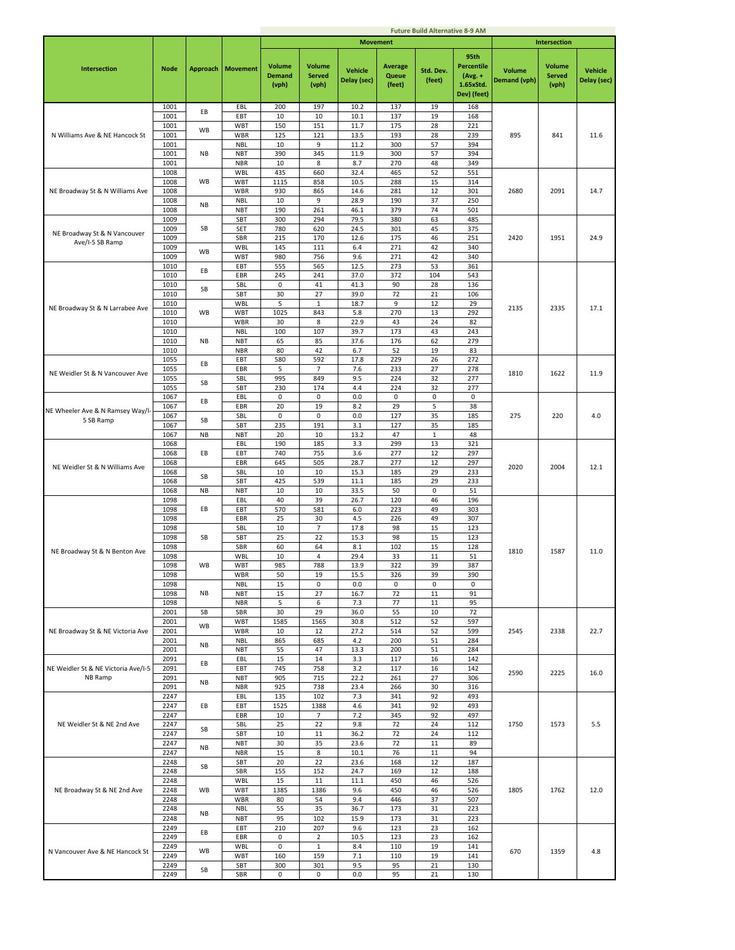|                                               |              |           |                          |                                         |                                         |                               |                                   | <b>Future Build Alternative 8-9 AM</b> |                                                                    |                               |                                         |                               |
|-----------------------------------------------|--------------|-----------|--------------------------|-----------------------------------------|-----------------------------------------|-------------------------------|-----------------------------------|----------------------------------------|--------------------------------------------------------------------|-------------------------------|-----------------------------------------|-------------------------------|
|                                               |              |           |                          |                                         |                                         |                               | <b>Movement</b>                   |                                        |                                                                    |                               | <b>Intersection</b>                     |                               |
| <b>Intersection</b>                           | <b>Node</b>  | Approach  | <b>Movement</b>          | <b>Volume</b><br><b>Demand</b><br>(vph) | <b>Volume</b><br><b>Served</b><br>(vph) | <b>Vehicle</b><br>Delay (sec) | <b>Average</b><br>Queue<br>(feet) | Std. Dev.<br>(feet)                    | 95th<br><b>Percentile</b><br>$(Avg. +$<br>1.65xStd.<br>Dev) (feet) | <b>Volume</b><br>Demand (vph) | <b>Volume</b><br><b>Served</b><br>(vph) | <b>Vehicle</b><br>Delay (sec) |
|                                               | 1001         | EВ        | EBL                      | 200                                     | 197                                     | 10.2                          | 137                               | 19                                     | 168                                                                |                               |                                         |                               |
|                                               | 1001         |           | EBT                      | 10                                      | 10                                      | 10.1                          | 137                               | 19                                     | 168                                                                |                               |                                         |                               |
|                                               | 1001         | WB        | <b>WBT</b>               | 150                                     | 151                                     | 11.7                          | 175                               | 28                                     | 221                                                                |                               |                                         |                               |
| N Williams Ave & NE Hancock St                | 1001         |           | WBR                      | 125                                     | 121                                     | 13.5                          | 193                               | 28                                     | 239                                                                | 895                           | 841                                     | 11.6                          |
|                                               | 1001         |           | <b>NBL</b>               | 10                                      | 9                                       | 11.2                          | 300                               | 57                                     | 394                                                                |                               |                                         |                               |
|                                               | 1001<br>1001 | NB        | <b>NBT</b><br><b>NBR</b> | 390<br>10                               | 345<br>8                                | 11.9<br>8.7                   | 300<br>270                        | 57<br>48                               | 394<br>349                                                         |                               |                                         |                               |
|                                               | 1008         |           | <b>WBL</b>               | 435                                     | 660                                     | 32.4                          | 465                               | 52                                     | 551                                                                |                               |                                         |                               |
|                                               | 1008         | WB        | WBT                      | 1115                                    | 858                                     | 10.5                          | 288                               | 15                                     | 314                                                                |                               |                                         |                               |
| NE Broadway St & N Williams Ave               | 1008         |           | WBR                      | 930                                     | 865                                     | 14.6                          | 281                               | 12                                     | 301                                                                | 2680                          | 2091                                    | 14.7                          |
|                                               | 1008         | <b>NB</b> | <b>NBL</b>               | 10                                      | 9                                       | 28.9                          | 190                               | 37                                     | 250                                                                |                               |                                         |                               |
|                                               | 1008         |           | <b>NBT</b>               | 190                                     | 261                                     | 46.1                          | 379                               | 74                                     | 501                                                                |                               |                                         |                               |
|                                               | 1009         |           | SBT                      | 300                                     | 294                                     | 79.5                          | 380                               | 63                                     | 485                                                                |                               |                                         |                               |
| NE Broadway St & N Vancouver                  | 1009<br>1009 | SB        | SET<br>SBR               | 780<br>215                              | 620<br>170                              | 24.5<br>12.6                  | 301<br>175                        | 45<br>46                               | 375<br>251                                                         | 2420                          | 1951                                    | 24.9                          |
| Ave/I-5 SB Ramp                               | 1009         |           | <b>WBL</b>               | 145                                     | 111                                     | 6.4                           | 271                               | 42                                     | 340                                                                |                               |                                         |                               |
|                                               | 1009         | <b>WB</b> | <b>WBT</b>               | 980                                     | 756                                     | 9.6                           | 271                               | 42                                     | 340                                                                |                               |                                         |                               |
|                                               | 1010         | EВ        | EBT                      | 555                                     | 565                                     | 12.5                          | 273                               | 53                                     | 361                                                                |                               |                                         |                               |
|                                               | 1010         |           | EBR                      | 245                                     | 241                                     | 37.0                          | 372                               | 104                                    | 543                                                                |                               |                                         |                               |
|                                               | 1010         | SB        | SBL                      | 0                                       | 41                                      | 41.3                          | 90                                | 28                                     | 136                                                                |                               |                                         |                               |
|                                               | 1010<br>1010 |           | SBT<br><b>WBL</b>        | 30<br>5                                 | 27<br>$\mathbf{1}$                      | 39.0<br>18.7                  | 72<br>9                           | 21<br>12                               | 106<br>29                                                          |                               |                                         |                               |
| NE Broadway St & N Larrabee Ave               | 1010         | WB        | <b>WBT</b>               | 1025                                    | 843                                     | 5.8                           | 270                               | 13                                     | 292                                                                | 2135                          | 2335                                    | 17.1                          |
|                                               | 1010         |           | WBR                      | 30                                      | 8                                       | 22.9                          | 43                                | 24                                     | 82                                                                 |                               |                                         |                               |
|                                               | 1010         |           | <b>NBL</b>               | 100                                     | 107                                     | 39.7                          | 173                               | 43                                     | 243                                                                |                               |                                         |                               |
|                                               | 1010         | NB        | <b>NBT</b>               | 65                                      | 85                                      | 37.6                          | 176                               | 62                                     | 279                                                                |                               |                                         |                               |
|                                               | 1010         |           | <b>NBR</b>               | 80                                      | 42                                      | 6.7                           | 52                                | 19                                     | 83                                                                 |                               |                                         |                               |
|                                               | 1055         | EВ        | EBT                      | 580                                     | 592                                     | 17.8                          | 229                               | 26                                     | 272                                                                |                               |                                         |                               |
| NE Weidler St & N Vancouver Ave               | 1055         |           | EBR                      | 5<br>995                                | 7<br>849                                | 7.6<br>9.5                    | 233                               | 27                                     | 278                                                                | 1810                          | 1622                                    | 11.9                          |
|                                               | 1055<br>1055 | SB        | SBL<br>SBT               | 230                                     | 174                                     | 4.4                           | 224<br>224                        | 32<br>32                               | 277<br>277                                                         |                               |                                         |                               |
|                                               | 1067         |           | EBL                      | $\mathsf 0$                             | 0                                       | 0.0                           | 0                                 | 0                                      | 0                                                                  |                               |                                         |                               |
|                                               | 1067         | EВ        | EBR                      | 20                                      | 19                                      | 8.2                           | 29                                | 5                                      | 38                                                                 |                               |                                         |                               |
| NE Wheeler Ave & N Ramsey Way/I-<br>5 SB Ramp | 1067         | SB        | SBL                      | $\mathsf 0$                             | 0                                       | 0.0                           | 127                               | 35                                     | 185                                                                | 275                           | 220                                     | 4.0                           |
|                                               | 1067         |           | SBT                      | 235                                     | 191                                     | 3.1                           | 127                               | 35                                     | 185                                                                |                               |                                         |                               |
|                                               | 1067         | <b>NB</b> | <b>NBT</b>               | 20                                      | 10                                      | 13.2                          | 47                                | $\mathbf{1}$                           | 48                                                                 |                               |                                         |                               |
|                                               | 1068         |           | EBL                      | 190<br>740                              | 185                                     | 3.3                           | 299                               | 13                                     | 321                                                                |                               |                                         |                               |
|                                               | 1068<br>1068 | EВ        | EBT<br>EBR               | 645                                     | 755<br>505                              | 3.6<br>28.7                   | 277<br>277                        | 12<br>12                               | 297<br>297                                                         |                               |                                         |                               |
| NE Weidler St & N Williams Ave                | 1068         |           | SBL                      | 10                                      | 10                                      | 15.3                          | 185                               | 29                                     | 233                                                                | 2020                          | 2004                                    | 12.1                          |
|                                               | 1068         | SB        | SBT                      | 425                                     | 539                                     | 11.1                          | 185                               | 29                                     | 233                                                                |                               |                                         |                               |
|                                               | 1068         | <b>NB</b> | <b>NBT</b>               | 10                                      | 10                                      | 33.5                          | 50                                | 0                                      | 51                                                                 |                               |                                         |                               |
|                                               | 1098         |           | EBL                      | 40                                      | 39                                      | 26.7                          | 120                               | 46                                     | 196                                                                |                               |                                         |                               |
|                                               | 1098         | EВ        | EBT                      | 570                                     | 581                                     | $6.0$                         | 223                               | 49                                     | 303                                                                |                               |                                         |                               |
|                                               | 1098<br>1098 |           | EBR<br>SBL               | 25<br>10                                | 30<br>$\overline{7}$                    | 4.5<br>17.8                   | 226<br>98                         | 49<br>15                               | 307<br>123                                                         |                               |                                         |                               |
|                                               | 1098         | SB        | SBT                      | 25                                      | 22                                      | 15.3                          | 98                                | 15                                     | 123                                                                |                               |                                         |                               |
|                                               | 1098         |           | SBR                      | 60                                      | 64                                      | 8.1                           | 102                               | 15                                     | 128                                                                |                               |                                         |                               |
| NE Broadway St & N Benton Ave                 | 1098         |           | WBL                      | 10                                      | 4                                       | 29.4                          | 33                                | 11                                     | 51                                                                 | 1810                          | 1587                                    | 11.0                          |
|                                               | 1098         | WB        | WBT                      | 985                                     | 788                                     | 13.9                          | 322                               | 39                                     | 387                                                                |                               |                                         |                               |
|                                               | 1098         |           | WBR                      | 50                                      | 19                                      | 15.5                          | 326                               | 39                                     | 390                                                                |                               |                                         |                               |
|                                               | 1098<br>1098 | <b>NB</b> | <b>NBL</b><br><b>NBT</b> | 15<br>15                                | 0<br>27                                 | 0.0<br>16.7                   | 0<br>72                           | 0<br>$11\,$                            | $\mathbf 0$<br>91                                                  |                               |                                         |                               |
|                                               | 1098         |           | <b>NBR</b>               | 5                                       | 6                                       | 7.3                           | 77                                | 11                                     | 95                                                                 |                               |                                         |                               |
|                                               | 2001         | SB        | SBR                      | 30                                      | 29                                      | 36.0                          | 55                                | 10                                     | 72                                                                 |                               |                                         |                               |
|                                               | 2001         | WB        | WBT                      | 1585                                    | 1565                                    | 30.8                          | 512                               | 52                                     | 597                                                                |                               |                                         |                               |
| NE Broadway St & NE Victoria Ave              | 2001         |           | WBR                      | 10                                      | 12                                      | 27.2                          | 514                               | 52                                     | 599                                                                | 2545                          | 2338                                    | 22.7                          |
|                                               | 2001         | NB        | <b>NBL</b>               | 865                                     | 685                                     | 4.2                           | 200                               | 51                                     | 284                                                                |                               |                                         |                               |
|                                               | 2001<br>2091 |           | NBT<br>EBL               | 55<br>15                                | 47<br>14                                | 13.3<br>3.3                   | 200<br>117                        | 51<br>16                               | 284<br>142                                                         |                               |                                         |                               |
| NE Weidler St & NE Victoria Ave/I-5           | 2091         | EВ        | EBT                      | 745                                     | 758                                     | 3.2                           | 117                               | 16                                     | 142                                                                |                               |                                         |                               |
| NB Ramp                                       | 2091         |           | <b>NBT</b>               | 905                                     | 715                                     | 22.2                          | 261                               | 27                                     | 306                                                                | 2590                          | 2225                                    | 16.0                          |
|                                               | 2091         | NB        | <b>NBR</b>               | 925                                     | 738                                     | 23.4                          | 266                               | 30                                     | 316                                                                |                               |                                         |                               |
|                                               | 2247         |           | EBL                      | 135                                     | 102                                     | 7.3                           | 341                               | 92                                     | 493                                                                |                               |                                         |                               |
|                                               | 2247         | EВ        | EBT                      | 1525                                    | 1388                                    | 4.6                           | 341                               | 92                                     | 493                                                                |                               |                                         |                               |
| NE Weidler St & NE 2nd Ave                    | 2247<br>2247 |           | EBR<br>SBL               | 10<br>25                                | $\overline{7}$<br>22                    | 7.2<br>9.8                    | 345<br>72                         | 92<br>24                               | 497<br>112                                                         | 1750                          | 1573                                    | 5.5                           |
|                                               | 2247         | SB        | SBT                      | 10                                      | 11                                      | 36.2                          | 72                                | 24                                     | 112                                                                |                               |                                         |                               |
|                                               | 2247         |           | <b>NBT</b>               | 30                                      | 35                                      | 23.6                          | 72                                | 11                                     | 89                                                                 |                               |                                         |                               |
|                                               | 2247         | NB        | <b>NBR</b>               | 15                                      | 8                                       | 10.1                          | 76                                | 11                                     | 94                                                                 |                               |                                         |                               |
|                                               | 2248         | SB        | SBT                      | 20                                      | 22                                      | 23.6                          | 168                               | 12                                     | 187                                                                |                               |                                         |                               |
|                                               | 2248         |           | SBR                      | 155                                     | 152                                     | 24.7                          | 169                               | 12                                     | 188                                                                |                               |                                         |                               |
|                                               | 2248         |           | <b>WBL</b>               | 15                                      | 11                                      | 11.1                          | 450                               | 46                                     | 526                                                                |                               |                                         |                               |
| NE Broadway St & NE 2nd Ave                   | 2248<br>2248 | WB        | <b>WBT</b><br><b>WBR</b> | 1385<br>80                              | 1386<br>54                              | 9.6<br>9.4                    | 450<br>446                        | 46<br>37                               | 526<br>507                                                         | 1805                          | 1762                                    | 12.0                          |
|                                               | 2248         |           | <b>NBL</b>               | 55                                      | 35                                      | 36.7                          | 173                               | 31                                     | 223                                                                |                               |                                         |                               |
|                                               | 2248         | NB        | <b>NBT</b>               | 95                                      | 102                                     | 15.9                          | 173                               | 31                                     | 223                                                                |                               |                                         |                               |
|                                               | 2249         | EВ        | EBT                      | 210                                     | 207                                     | 9.6                           | 123                               | 23                                     | 162                                                                |                               |                                         |                               |
|                                               | 2249         |           | EBR                      | 0                                       | $\overline{2}$                          | 10.5                          | 123                               | 23                                     | 162                                                                |                               |                                         |                               |
| N Vancouver Ave & NE Hancock St               | 2249         | WB        | <b>WBL</b>               | 0                                       | $\mathbf{1}$                            | 8.4                           | 110                               | 19                                     | 141                                                                | 670                           | 1359                                    | 4.8                           |
|                                               | 2249<br>2249 |           | <b>WBT</b><br>SBT        | 160<br>300                              | 159<br>301                              | 7.1<br>9.5                    | 110<br>95                         | 19<br>21                               | 141<br>130                                                         |                               |                                         |                               |
|                                               | 2249         | SB        | SBR                      | 0                                       | 0                                       | 0.0                           | 95                                | 21                                     | 130                                                                |                               |                                         |                               |
|                                               |              |           |                          |                                         |                                         |                               |                                   |                                        |                                                                    |                               |                                         |                               |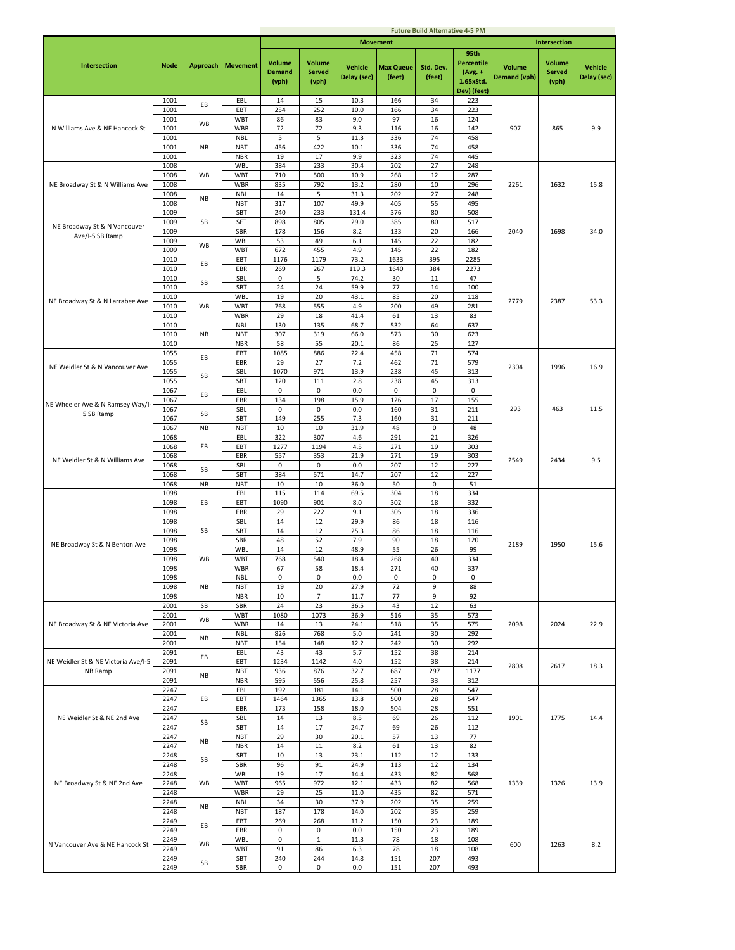|                                     |              |           |                          |                                         |                                         |                               |                            | <b>Future Build Alternative 4-5 PM</b> |                                                                    |                               |                                         |                               |
|-------------------------------------|--------------|-----------|--------------------------|-----------------------------------------|-----------------------------------------|-------------------------------|----------------------------|----------------------------------------|--------------------------------------------------------------------|-------------------------------|-----------------------------------------|-------------------------------|
|                                     |              |           |                          |                                         |                                         |                               | <b>Movement</b>            |                                        |                                                                    |                               | Intersection                            |                               |
| <b>Intersection</b>                 | <b>Node</b>  | Approach  | <b>Movement</b>          | <b>Volume</b><br><b>Demand</b><br>(vph) | <b>Volume</b><br><b>Served</b><br>(vph) | <b>Vehicle</b><br>Delay (sec) | <b>Max Queue</b><br>(feet) | Std. Dev.<br>(feet)                    | 95th<br><b>Percentile</b><br>$(Avg. +$<br>1.65xStd.<br>Dev) (feet) | <b>Volume</b><br>Demand (vph) | <b>Volume</b><br><b>Served</b><br>(vph) | <b>Vehicle</b><br>Delay (sec) |
|                                     | 1001         |           | EBL                      | 14                                      | 15                                      | 10.3                          | 166                        | 34                                     | 223                                                                |                               |                                         |                               |
|                                     | 1001         | EВ        | EBT                      | 254                                     | 252                                     | 10.0                          | 166                        | 34                                     | 223                                                                |                               |                                         |                               |
|                                     | 1001         | <b>WB</b> | <b>WBT</b>               | 86                                      | 83                                      | 9.0                           | 97                         | 16                                     | 124                                                                |                               |                                         |                               |
| N Williams Ave & NE Hancock St      | 1001<br>1001 |           | WBR<br><b>NBL</b>        | 72<br>5                                 | 72<br>5                                 | 9.3<br>11.3                   | 116<br>336                 | 16<br>74                               | 142<br>458                                                         | 907                           | 865                                     | 9.9                           |
|                                     | 1001         | NB        | <b>NBT</b>               | 456                                     | 422                                     | 10.1                          | 336                        | 74                                     | 458                                                                |                               |                                         |                               |
|                                     | 1001         |           | <b>NBR</b>               | 19                                      | 17                                      | 9.9                           | 323                        | 74                                     | 445                                                                |                               |                                         |                               |
|                                     | 1008         | <b>WB</b> | <b>WBL</b>               | 384                                     | 233                                     | 30.4                          | 202                        | 27                                     | 248                                                                |                               |                                         |                               |
| NE Broadway St & N Williams Ave     | 1008<br>1008 |           | <b>WBT</b><br>WBR        | 710<br>835                              | 500<br>792                              | 10.9<br>13.2                  | 268<br>280                 | 12<br>10                               | 287<br>296                                                         | 2261                          | 1632                                    | 15.8                          |
|                                     | 1008         | <b>NB</b> | <b>NBL</b>               | 14                                      | 5                                       | 31.3                          | 202                        | 27                                     | 248                                                                |                               |                                         |                               |
|                                     | 1008         |           | <b>NBT</b>               | 317                                     | 107                                     | 49.9                          | 405                        | 55                                     | 495                                                                |                               |                                         |                               |
|                                     | 1009<br>1009 | SB        | SBT<br>SET               | 240<br>898                              | 233<br>805                              | 131.4<br>29.0                 | 376<br>385                 | 80<br>80                               | 508<br>517                                                         |                               |                                         |                               |
| NE Broadway St & N Vancouver        | 1009         |           | SBR                      | 178                                     | 156                                     | 8.2                           | 133                        | 20                                     | 166                                                                | 2040                          | 1698                                    | 34.0                          |
| Ave/I-5 SB Ramp                     | 1009         | <b>WB</b> | <b>WBL</b>               | 53                                      | 49                                      | 6.1                           | 145                        | 22                                     | 182                                                                |                               |                                         |                               |
|                                     | 1009         |           | <b>WBT</b>               | 672                                     | 455                                     | 4.9                           | 145                        | 22                                     | 182                                                                |                               |                                         |                               |
|                                     | 1010<br>1010 | EВ        | EBT<br>EBR               | 1176<br>269                             | 1179<br>267                             | 73.2<br>119.3                 | 1633<br>1640               | 395<br>384                             | 2285<br>2273                                                       |                               |                                         |                               |
|                                     | 1010         |           | SBL                      | 0                                       | 5                                       | 74.2                          | 30                         | 11                                     | 47                                                                 |                               |                                         |                               |
|                                     | 1010         | SB        | SBT                      | 24                                      | 24                                      | 59.9                          | 77                         | 14                                     | 100                                                                |                               |                                         |                               |
| NE Broadway St & N Larrabee Ave     | 1010<br>1010 | <b>WB</b> | <b>WBL</b><br><b>WBT</b> | 19<br>768                               | 20<br>555                               | 43.1<br>4.9                   | 85<br>200                  | 20<br>49                               | 118<br>281                                                         | 2779                          | 2387                                    | 53.3                          |
|                                     | 1010         |           | WBR                      | 29                                      | 18                                      | 41.4                          | 61                         | 13                                     | 83                                                                 |                               |                                         |                               |
|                                     | 1010         |           | <b>NBL</b>               | 130                                     | 135                                     | 68.7                          | 532                        | 64                                     | 637                                                                |                               |                                         |                               |
|                                     | 1010         | NB        | <b>NBT</b>               | 307                                     | 319                                     | 66.0                          | 573                        | 30                                     | 623                                                                |                               |                                         |                               |
|                                     | 1010<br>1055 |           | <b>NBR</b><br>EBT        | 58<br>1085                              | 55<br>886                               | 20.1<br>22.4                  | 86<br>458                  | 25<br>71                               | 127<br>574                                                         |                               |                                         |                               |
|                                     | 1055         | EВ        | EBR                      | 29                                      | 27                                      | 7.2                           | 462                        | 71                                     | 579                                                                |                               |                                         |                               |
| NE Weidler St & N Vancouver Ave     | 1055         | SB        | SBL                      | 1070                                    | 971                                     | 13.9                          | 238                        | 45                                     | 313                                                                | 2304                          | 1996                                    | 16.9                          |
|                                     | 1055         |           | SBT                      | 120                                     | 111                                     | 2.8                           | 238                        | 45                                     | 313                                                                |                               |                                         |                               |
|                                     | 1067<br>1067 | EВ        | EBL<br>EBR               | $\mathbf 0$<br>134                      | $\mathsf 0$<br>198                      | 0.0<br>15.9                   | $\mathsf 0$<br>126         | $\pmb{0}$<br>17                        | $\mathsf 0$<br>155                                                 |                               |                                         |                               |
| NE Wheeler Ave & N Ramsey Way/I-    | 1067         |           | SBL                      | 0                                       | 0                                       | 0.0                           | 160                        | 31                                     | 211                                                                | 293                           | 463                                     | 11.5                          |
| 5 SB Ramp                           | 1067         | SB        | SBT                      | 149                                     | 255                                     | 7.3                           | 160                        | 31                                     | 211                                                                |                               |                                         |                               |
|                                     | 1067         | <b>NB</b> | <b>NBT</b>               | 10                                      | 10                                      | 31.9                          | 48                         | $\mathsf 0$                            | 48                                                                 |                               |                                         |                               |
|                                     | 1068<br>1068 | EB        | EBL<br>EBT               | 322<br>1277                             | 307<br>1194                             | 4.6<br>4.5                    | 291<br>271                 | 21<br>19                               | 326<br>303                                                         |                               |                                         |                               |
|                                     | 1068         |           | EBR                      | 557                                     | 353                                     | 21.9                          | 271                        | 19                                     | 303                                                                |                               |                                         |                               |
| NE Weidler St & N Williams Ave      | 1068         | SB        | SBL                      | 0                                       | 0                                       | 0.0                           | 207                        | 12                                     | 227                                                                | 2549                          | 2434                                    | 9.5                           |
|                                     | 1068         |           | SBT                      | 384                                     | 571                                     | 14.7                          | 207                        | 12                                     | 227                                                                |                               |                                         |                               |
|                                     | 1068<br>1098 | <b>NB</b> | <b>NBT</b><br>EBL        | 10<br>115                               | 10<br>114                               | 36.0<br>69.5                  | 50<br>304                  | 0<br>18                                | 51<br>334                                                          |                               |                                         |                               |
|                                     | 1098         | EB        | EBT                      | 1090                                    | 901                                     | 8.0                           | 302                        | 18                                     | 332                                                                |                               |                                         |                               |
|                                     | 1098         |           | EBR                      | 29                                      | 222                                     | 9.1                           | 305                        | 18                                     | 336                                                                |                               |                                         |                               |
|                                     | 1098<br>1098 | SB        | SBL<br>SBT               | 14<br>14                                | 12<br>12                                | 29.9<br>25.3                  | 86<br>86                   | 18<br>18                               | 116<br>116                                                         |                               |                                         |                               |
|                                     | 1098         |           | SBR                      | 48                                      | 52                                      | 7.9                           | 90                         | 18                                     | 120                                                                |                               |                                         |                               |
| NE Broadway St & N Benton Ave       | 1098         |           | WBL                      | 14                                      | 12                                      | 48.9                          | 55                         | 26                                     | 99                                                                 | 2189                          | 1950                                    | 15.6                          |
|                                     | 1098         | WB        | <b>WBT</b>               | 768                                     | 540                                     | 18.4                          | 268                        | 40                                     | 334                                                                |                               |                                         |                               |
|                                     | 1098<br>1098 |           | <b>WBR</b><br><b>NBL</b> | 67<br>$\mathsf 0$                       | 58<br>$\mathsf 0$                       | 18.4<br>0.0                   | 271<br>$\mathsf 0$         | 40<br>$\mathsf 0$                      | 337<br>$\mathsf 0$                                                 |                               |                                         |                               |
|                                     | 1098         | <b>NB</b> | <b>NBT</b>               | 19                                      | 20                                      | 27.9                          | 72                         | 9                                      | 88                                                                 |                               |                                         |                               |
|                                     | 1098         |           | <b>NBR</b>               | 10                                      | $\overline{7}$                          | 11.7                          | 77                         | 9                                      | 92                                                                 |                               |                                         |                               |
|                                     | 2001<br>2001 | SB        | SBR<br>WBT               | 24<br>1080                              | 23<br>1073                              | 36.5<br>36.9                  | 43<br>516                  | 12<br>35                               | 63<br>573                                                          |                               |                                         |                               |
| NE Broadway St & NE Victoria Ave    | 2001         | <b>WB</b> | WBR                      | 14                                      | 13                                      | 24.1                          | 518                        | 35                                     | 575                                                                | 2098                          | 2024                                    | 22.9                          |
|                                     | 2001         | NB        | <b>NBL</b>               | 826                                     | 768                                     | 5.0                           | 241                        | 30                                     | 292                                                                |                               |                                         |                               |
|                                     | 2001         |           | <b>NBT</b>               | 154                                     | 148                                     | 12.2                          | 242                        | 30                                     | 292                                                                |                               |                                         |                               |
| NE Weidler St & NE Victoria Ave/I-5 | 2091<br>2091 | EВ        | EBL<br>EBT               | 43<br>1234                              | 43<br>1142                              | 5.7<br>4.0                    | 152<br>152                 | 38<br>38                               | 214<br>214                                                         |                               |                                         |                               |
| NB Ramp                             | 2091         |           | <b>NBT</b>               | 936                                     | 876                                     | 32.7                          | 687                        | 297                                    | 1177                                                               | 2808                          | 2617                                    | 18.3                          |
|                                     | 2091         | NB        | <b>NBR</b>               | 595                                     | 556                                     | 25.8                          | 257                        | 33                                     | 312                                                                |                               |                                         |                               |
|                                     | 2247         |           | EBL                      | 192                                     | 181                                     | 14.1                          | 500                        | 28                                     | 547                                                                |                               |                                         |                               |
|                                     | 2247<br>2247 | EВ        | EBT<br>EBR               | 1464<br>173                             | 1365<br>158                             | 13.8<br>18.0                  | 500<br>504                 | 28<br>28                               | 547<br>551                                                         |                               |                                         |                               |
| NE Weidler St & NE 2nd Ave          | 2247         |           | SBL                      | 14                                      | 13                                      | 8.5                           | 69                         | 26                                     | 112                                                                | 1901                          | 1775                                    | 14.4                          |
|                                     | 2247         | SB        | SBT                      | 14                                      | 17                                      | 24.7                          | 69                         | 26                                     | 112                                                                |                               |                                         |                               |
|                                     | 2247<br>2247 | NB        | <b>NBT</b>               | 29<br>14                                | 30                                      | 20.1                          | 57                         | 13                                     | 77<br>82                                                           |                               |                                         |                               |
|                                     | 2248         |           | <b>NBR</b><br>SBT        | 10                                      | 11<br>13                                | 8.2<br>23.1                   | 61<br>112                  | 13<br>12                               | 133                                                                |                               |                                         |                               |
|                                     | 2248         | SB        | SBR                      | 96                                      | 91                                      | 24.9                          | 113                        | 12                                     | 134                                                                |                               |                                         |                               |
|                                     | 2248         |           | <b>WBL</b>               | 19                                      | 17                                      | 14.4                          | 433                        | 82                                     | 568                                                                |                               |                                         |                               |
| NE Broadway St & NE 2nd Ave         | 2248<br>2248 | WB        | WBT<br>WBR               | 965<br>29                               | 972<br>25                               | 12.1<br>11.0                  | 433<br>435                 | 82<br>82                               | 568<br>571                                                         | 1339                          | 1326                                    | 13.9                          |
|                                     | 2248         |           | <b>NBL</b>               | 34                                      | 30                                      | 37.9                          | 202                        | 35                                     | 259                                                                |                               |                                         |                               |
|                                     | 2248         | <b>NB</b> | <b>NBT</b>               | 187                                     | 178                                     | 14.0                          | 202                        | 35                                     | 259                                                                |                               |                                         |                               |
|                                     | 2249         | EВ        | EBT                      | 269                                     | 268                                     | 11.2                          | 150                        | 23                                     | 189                                                                |                               |                                         |                               |
|                                     | 2249<br>2249 |           | EBR<br>WBL               | 0<br>0                                  | 0<br>$\,1\,$                            | 0.0<br>11.3                   | 150<br>78                  | 23<br>18                               | 189<br>108                                                         |                               |                                         |                               |
| N Vancouver Ave & NE Hancock St     | 2249         | WB        | WBT                      | 91                                      | 86                                      | 6.3                           | 78                         | 18                                     | 108                                                                | 600                           | 1263                                    | 8.2                           |
|                                     | 2249         | SB        | SBT                      | 240                                     | 244                                     | 14.8                          | 151                        | 207                                    | 493                                                                |                               |                                         |                               |
|                                     | 2249         |           | SBR                      | 0                                       | 0                                       | 0.0                           | 151                        | 207                                    | 493                                                                |                               |                                         |                               |